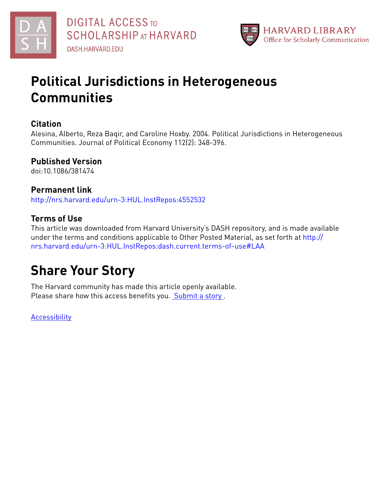



# **Political Jurisdictions in Heterogeneous Communities**

### **Citation**

Alesina, Alberto, Reza Baqir, and Caroline Hoxby. 2004. Political Jurisdictions in Heterogeneous Communities. Journal of Political Economy 112(2): 348-396.

## **Published Version**

doi:10.1086/381474

## **Permanent link**

<http://nrs.harvard.edu/urn-3:HUL.InstRepos:4552532>

### **Terms of Use**

This article was downloaded from Harvard University's DASH repository, and is made available under the terms and conditions applicable to Other Posted Material, as set forth at [http://](http://nrs.harvard.edu/urn-3:HUL.InstRepos:dash.current.terms-of-use#LAA) [nrs.harvard.edu/urn-3:HUL.InstRepos:dash.current.terms-of-use#LAA](http://nrs.harvard.edu/urn-3:HUL.InstRepos:dash.current.terms-of-use#LAA)

# **Share Your Story**

The Harvard community has made this article openly available. Please share how this access benefits you. [Submit](http://osc.hul.harvard.edu/dash/open-access-feedback?handle=&title=Political%20Jurisdictions%20in%20Heterogeneous%20Communities&community=1/1&collection=1/2&owningCollection1/2&harvardAuthors=db56b5dfeb6879f5c5cc34efb86931d3&departmentEconomics) a story.

**[Accessibility](https://dash.harvard.edu/pages/accessibility)**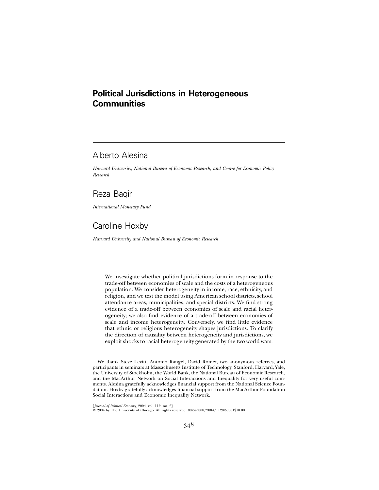### **Political Jurisdictions in Heterogeneous Communities**

### Alberto Alesina

*Harvard University, National Bureau of Economic Research, and Centre for Economic Policy Research*

### Reza Baqir

*International Monetary Fund*

### Caroline Hoxby

*Harvard University and National Bureau of Economic Research*

We investigate whether political jurisdictions form in response to the trade-off between economies of scale and the costs of a heterogeneous population. We consider heterogeneity in income, race, ethnicity, and religion, and we test the model using American school districts, school attendance areas, municipalities, and special districts. We find strong evidence of a trade-off between economies of scale and racial heterogeneity; we also find evidence of a trade-off between economies of scale and income heterogeneity. Conversely, we find little evidence that ethnic or religious heterogeneity shapes jurisdictions. To clarify the direction of causality between heterogeneity and jurisdictions, we exploit shocks to racial heterogeneity generated by the two world wars.

We thank Steve Levitt, Antonio Rangel, David Romer, two anonymous referees, and participants in seminars at Massachusetts Institute of Technology, Stanford, Harvard, Yale, the University of Stockholm, the World Bank, the National Bureau of Economic Research, and the MacArthur Network on Social Interactions and Inequality for very useful comments. Alesina gratefully acknowledges financial support from the National Science Foundation. Hoxby gratefully acknowledges financial support from the MacArthur Foundation Social Interactions and Economic Inequality Network.

[*Journal of Political Economy,* 2004, vol. 112, no. 2]<br>© 2004 by The University of Chicago. All rights reserved. 0022-3808/2004/11202-0001\$10.00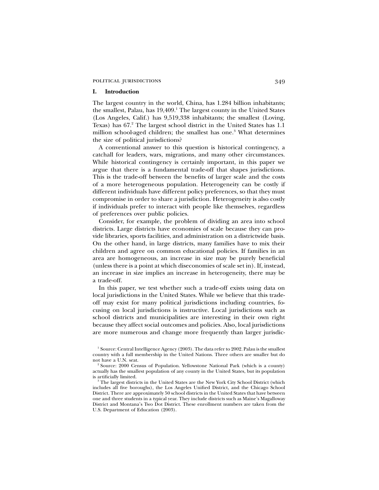#### political jurisdictions 349

#### **I. Introduction**

The largest country in the world, China, has 1.284 billion inhabitants; the smallest, Palau, has 19,409.<sup>1</sup> The largest county in the United States (Los Angeles, Calif.) has 9,519,338 inhabitants; the smallest (Loving, Texas) has  $67<sup>2</sup>$ . The largest school district in the United States has 1.1 million school-aged children; the smallest has one.<sup>3</sup> What determines the size of political jurisdictions?

A conventional answer to this question is historical contingency, a catchall for leaders, wars, migrations, and many other circumstances. While historical contingency is certainly important, in this paper we argue that there is a fundamental trade-off that shapes jurisdictions. This is the trade-off between the benefits of larger scale and the costs of a more heterogeneous population. Heterogeneity can be costly if different individuals have different policy preferences, so that they must compromise in order to share a jurisdiction. Heterogeneity is also costly if individuals prefer to interact with people like themselves, regardless of preferences over public policies.

Consider, for example, the problem of dividing an area into school districts. Large districts have economies of scale because they can provide libraries, sports facilities, and administration on a districtwide basis. On the other hand, in large districts, many families have to mix their children and agree on common educational policies. If families in an area are homogeneous, an increase in size may be purely beneficial (unless there is a point at which diseconomies of scale set in). If, instead, an increase in size implies an increase in heterogeneity, there may be a trade-off.

In this paper, we test whether such a trade-off exists using data on local jurisdictions in the United States. While we believe that this tradeoff may exist for many political jurisdictions including countries, focusing on local jurisdictions is instructive. Local jurisdictions such as school districts and municipalities are interesting in their own right because they affect social outcomes and policies. Also, local jurisdictions are more numerous and change more frequently than larger jurisdic-

<sup>&</sup>lt;sup>1</sup> Source: Central Intelligence Agency (2003). The data refer to 2002. Palau is the smallest country with a full membership in the United Nations. Three others are smaller but do not have a U.N. seat.

<sup>2</sup> Source: 2000 Census of Population. Yellowstone National Park (which is a county) actually has the smallest population of any county in the United States, but its population is artificially limited.

<sup>3</sup> The largest districts in the United States are the New York City School District (which includes all five boroughs), the Los Angeles Unified District, and the Chicago School District. There are approximately 50 school districts in the United States that have between one and three students in a typical year. They include districts such as Maine's Magalloway District and Montana's Two Dot District. These enrollment numbers are taken from the U.S. Department of Education (2003).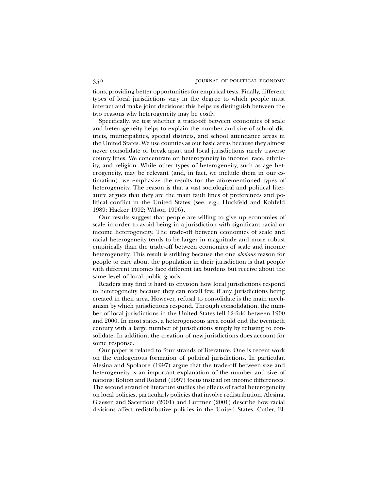tions, providing better opportunities for empirical tests. Finally, different types of local jurisdictions vary in the degree to which people must interact and make joint decisions: this helps us distinguish between the two reasons why heterogeneity may be costly.

Specifically, we test whether a trade-off between economies of scale and heterogeneity helps to explain the number and size of school districts, municipalities, special districts, and school attendance areas in the United States. We use counties as our basic areas because they almost never consolidate or break apart and local jurisdictions rarely traverse county lines. We concentrate on heterogeneity in income, race, ethnicity, and religion. While other types of heterogeneity, such as age heterogeneity, may be relevant (and, in fact, we include them in our estimation), we emphasize the results for the aforementioned types of heterogeneity. The reason is that a vast sociological and political literature argues that they are the main fault lines of preferences and political conflict in the United States (see, e.g., Huckfeld and Kohfeld 1989; Hacker 1992; Wilson 1996).

Our results suggest that people are willing to give up economies of scale in order to avoid being in a jurisdiction with significant racial or income heterogeneity. The trade-off between economies of scale and racial heterogeneity tends to be larger in magnitude and more robust empirically than the trade-off between economies of scale and income heterogeneity. This result is striking because the one *obvious* reason for people to care about the population in their jurisdiction is that people with different incomes face different tax burdens but receive about the same level of local public goods.

Readers may find it hard to envision how local jurisdictions respond to heterogeneity because they can recall few, if any, jurisdictions being created in their area. However, refusal to consolidate is the main mechanism by which jurisdictions respond. Through consolidation, the number of local jurisdictions in the United States fell 12-fold between 1900 and 2000. In most states, a heterogeneous area could end the twentieth century with a large number of jurisdictions simply by refusing to consolidate. In addition, the creation of new jurisdictions does account for some response.

Our paper is related to four strands of literature. One is recent work on the endogenous formation of political jurisdictions. In particular, Alesina and Spolaore (1997) argue that the trade-off between size and heterogeneity is an important explanation of the number and size of nations; Bolton and Roland (1997) focus instead on income differences. The second strand of literature studies the effects of racial heterogeneity on local policies, particularly policies that involve redistribution. Alesina, Glaeser, and Sacerdote (2001) and Luttmer (2001) describe how racial divisions affect redistributive policies in the United States. Cutler, El-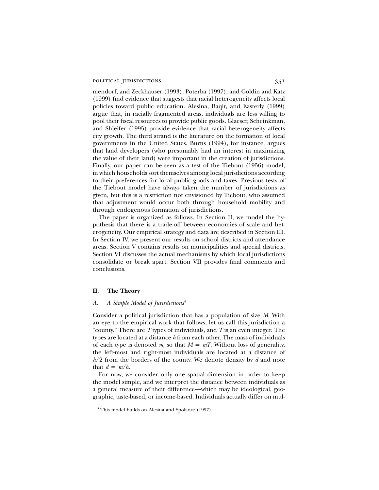#### POLITICAL JURISDICTIONS 351

mendorf, and Zeckhauser (1993), Poterba (1997), and Goldin and Katz (1999) find evidence that suggests that racial heterogeneity affects local policies toward public education. Alesina, Baqir, and Easterly (1999) argue that, in racially fragmented areas, individuals are less willing to pool their fiscal resources to provide public goods. Glaeser, Scheinkman, and Shleifer (1995) provide evidence that racial heterogeneity affects city growth. The third strand is the literature on the formation of local governments in the United States. Burns (1994), for instance, argues that land developers (who presumably had an interest in maximizing the value of their land) were important in the creation of jurisdictions. Finally, our paper can be seen as a test of the Tiebout (1956) model, in which households sort themselves among local jurisdictions according to their preferences for local public goods and taxes. Previous tests of the Tiebout model have always taken the number of jurisdictions as given, but this is a restriction not envisioned by Tiebout, who assumed that adjustment would occur both through household mobility and through endogenous formation of jurisdictions.

The paper is organized as follows. In Section II, we model the hypothesis that there is a trade-off between economies of scale and heterogeneity. Our empirical strategy and data are described in Section III. In Section IV, we present our results on school districts and attendance areas. Section V contains results on municipalities and special districts. Section VI discusses the actual mechanisms by which local jurisdictions consolidate or break apart. Section VII provides final comments and conclusions.

### **II. The Theory**

### *A. A Simple Model of Jurisdictions*<sup>4</sup>

Consider a political jurisdiction that has a population of size *M*. With an eye to the empirical work that follows, let us call this jurisdiction a "county." There are *T* types of individuals, and *T* is an even integer. The types are located at a distance *h* from each other. The mass of individuals of each type is denoted *m*, so that  $M = mT$ . Without loss of generality, the left-most and right-most individuals are located at a distance of *h*/2 from the borders of the county. We denote density by *d* and note that  $d = m/h$ .

For now, we consider only one spatial dimension in order to keep the model simple, and we interpret the distance between individuals as a general measure of their difference—which may be ideological, geographic, taste-based, or income-based. Individuals actually differ on mul-

<sup>4</sup> This model builds on Alesina and Spolaore (1997).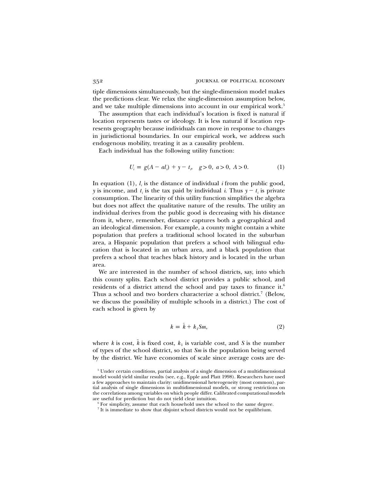tiple dimensions simultaneously, but the single-dimension model makes the predictions clear. We relax the single-dimension assumption below, and we take multiple dimensions into account in our empirical work.<sup>5</sup>

The assumption that each individual's location is fixed is natural if location represents tastes or ideology. It is less natural if location represents geography because individuals can move in response to changes in jurisdictional boundaries. In our empirical work, we address such endogenous mobility, treating it as a causality problem.

Each individual has the following utility function:

$$
U_i = g(A - al_i) + y - t_i, \quad g > 0, \ a > 0, \ A > 0.
$$
 (1)

In equation (1),  $l_i$  is the distance of individual  $i$  from the public good, *y* is income, and  $t_i$  is the tax paid by individual *i*. Thus  $y - t_i$  is private consumption. The linearity of this utility function simplifies the algebra but does not affect the qualitative nature of the results. The utility an individual derives from the public good is decreasing with his distance from it, where, remember, distance captures both a geographical and an ideological dimension. For example, a county might contain a white population that prefers a traditional school located in the suburban area, a Hispanic population that prefers a school with bilingual education that is located in an urban area, and a black population that prefers a school that teaches black history and is located in the urban area.

We are interested in the number of school districts, say, into which this county splits. Each school district provides a public school, and residents of a district attend the school and pay taxes to finance it.<sup>6</sup> Thus a school and two borders characterize a school district.<sup>7</sup> (Below, we discuss the possibility of multiple schools in a district.) The cost of each school is given by

$$
k = \bar{k} + k_1 Sm,\tag{2}
$$

where *k* is cost,  $\bar{k}$  is fixed cost,  $k_1$  is variable cost, and *S* is the number of types of the school district, so that *Sm* is the population being served by the district. We have economies of scale since average costs are de-

<sup>5</sup> Under certain conditions, partial analysis of a single dimension of a multidimensional model would yield similar results (see, e.g., Epple and Platt 1998). Researchers have used a few approaches to maintain clarity: unidimensional heterogeneity (most common), partial analysis of single dimensions in multidimensional models, or strong restrictions on the correlations among variables on which people differ. Calibrated computational models are useful for prediction but do not yield clear intuition.

<sup>&</sup>lt;sup>6</sup> For simplicity, assume that each household uses the school to the same degree.

<sup>&</sup>lt;sup>7</sup> It is immediate to show that disjoint school districts would not be equilibrium.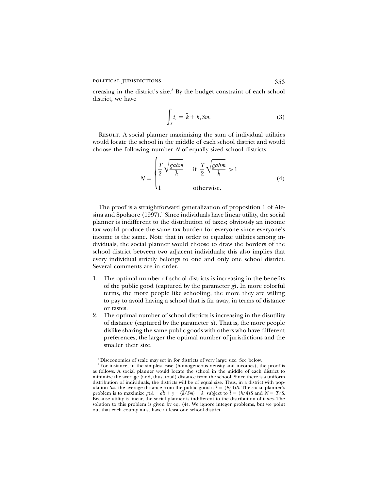POLITICAL JURISDICTIONS 353

creasing in the district's size.<sup>8</sup> By the budget constraint of each school district, we have

$$
\int_{S} t_i = \bar{k} + k_1 S m. \tag{3}
$$

RESULT. A social planner maximizing the sum of individual utilities would locate the school in the middle of each school district and would choose the following number *N* of equally sized school districts:

$$
N = \begin{cases} \frac{T}{2} \sqrt{\frac{\text{gahm}}{\bar{k}}} & \text{if } \frac{T}{2} \sqrt{\frac{\text{gahm}}{\bar{k}}} > 1\\ 1 & \text{otherwise.} \end{cases}
$$
(4)

The proof is a straightforward generalization of proposition 1 of Alesina and Spolaore  $(1997)$ . Since individuals have linear utility, the social planner is indifferent to the distribution of taxes; obviously an income tax would produce the same tax burden for everyone since everyone's income is the same. Note that in order to equalize utilities among individuals, the social planner would choose to draw the borders of the school district between two adjacent individuals; this also implies that every individual strictly belongs to one and only one school district. Several comments are in order.

- 1. The optimal number of school districts is increasing in the benefits of the public good (captured by the parameter *g*). In more colorful terms, the more people like schooling, the more they are willing to pay to avoid having a school that is far away, in terms of distance or tastes.
- 2. The optimal number of school districts is increasing in the disutility of distance (captured by the parameter *a*). That is, the more people dislike sharing the same public goods with others who have different preferences, the larger the optimal number of jurisdictions and the smaller their size.

<sup>8</sup> Diseconomies of scale may set in for districts of very large size. See below.

<sup>9</sup> For instance, in the simplest case (homogeneous density and incomes), the proof is as follows. A social planner would locate the school in the middle of each district to minimize the average (and, thus, total) distance from the school. Since there is a uniform distribution of individuals, the districts will be of equal size. Thus, in a district with population *Sm*, the average distance from the public good is  $\overline{l} = (h/4)S$ . The social planner's problem is to maximize  $g(A - a\bar{l}) + y - (\bar{k}/Sm) - k_1$  subject to  $\bar{l} = (h/4)S$  and  $\bar{N} = T/S$ . Because utility is linear, the social planner is indifferent to the distribution of taxes. The solution to this problem is given by eq. (4). We ignore integer problems, but we point out that each county must have at least one school district.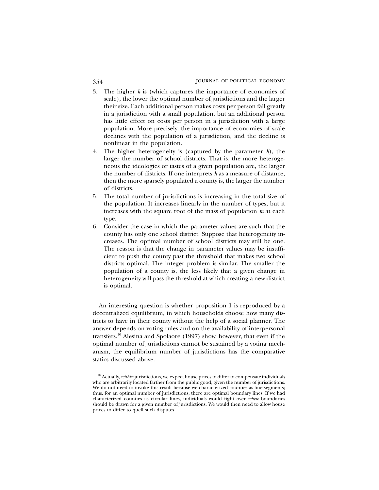- 3. The higher  $\bar{k}$  is (which captures the importance of economies of scale), the lower the optimal number of jurisdictions and the larger their size. Each additional person makes costs per person fall greatly in a jurisdiction with a small population, but an additional person has little effect on costs per person in a jurisdiction with a large population. More precisely, the importance of economies of scale declines with the population of a jurisdiction, and the decline is nonlinear in the population.
- 4. The higher heterogeneity is (captured by the parameter *h*), the larger the number of school districts. That is, the more heterogeneous the ideologies or tastes of a given population are, the larger the number of districts. If one interprets *h* as a measure of distance, then the more sparsely populated a county is, the larger the number of districts.
- 5. The total number of jurisdictions is increasing in the total size of the population. It increases linearly in the number of types, but it increases with the square root of the mass of population *m* at each type.
- 6. Consider the case in which the parameter values are such that the county has only one school district. Suppose that heterogeneity increases. The optimal number of school districts may still be one. The reason is that the change in parameter values may be insufficient to push the county past the threshold that makes two school districts optimal. The integer problem is similar. The smaller the population of a county is, the less likely that a given change in heterogeneity will pass the threshold at which creating a new district is optimal.

An interesting question is whether proposition 1 is reproduced by a decentralized equilibrium, in which households choose how many districts to have in their county without the help of a social planner. The answer depends on voting rules and on the availability of interpersonal transfers.<sup>10</sup> Alesina and Spolaore (1997) show, however, that even if the optimal number of jurisdictions cannot be sustained by a voting mechanism, the equilibrium number of jurisdictions has the comparative statics discussed above.

<sup>&</sup>lt;sup>10</sup> Actually, *within* jurisdictions, we expect house prices to differ to compensate individuals who are arbitrarily located farther from the public good, given the number of jurisdictions. We do not need to invoke this result because we characterized counties as line segments; thus, for an optimal number of jurisdictions, there are optimal boundary lines. If we had characterized counties as circular lines, individuals would fight over *where* boundaries should be drawn for a given number of jurisdictions. We would then need to allow house prices to differ to quell such disputes.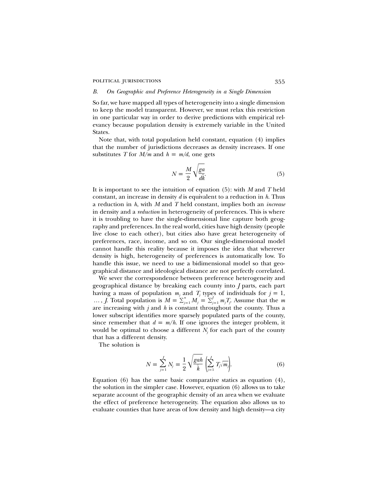#### POLITICAL JURISDICTIONS 355

#### *B. On Geographic and Preference Heterogeneity in a Single Dimension*

So far, we have mapped all types of heterogeneity into a single dimension to keep the model transparent. However, we must relax this restriction in one particular way in order to derive predictions with empirical relevancy because population density is extremely variable in the United States.

Note that, with total population held constant, equation (4) implies that the number of jurisdictions decreases as density increases. If one substitutes *T* for *M/m* and  $h = m/d$ , one gets

$$
N = \frac{M}{2} \sqrt{\frac{ga}{d\bar{k}}}.\tag{5}
$$

It is important to see the intuition of equation (5): with *M* and *T* held constant, an increase in density *d* is equivalent to a reduction in *h*. Thus a reduction in *h*, with *M* and *T* held constant, implies both an *increase* in density and a *reduction* in heterogeneity of preferences. This is where it is troubling to have the single-dimensional line capture both geography and preferences. In the real world, cities have high density (people live close to each other), but cities also have great heterogeneity of preferences, race, income, and so on. Our single-dimensional model cannot handle this reality because it imposes the idea that wherever density is high, heterogeneity of preferences is automatically low. To handle this issue, we need to use a bidimensional model so that geographical distance and ideological distance are not perfectly correlated.

We sever the correspondence between preference heterogeneity and geographical distance by breaking each county into *J* parts, each part having a mass of population  $m_i$  and  $T_i$  types of individuals for  $j = 1$ , ..., *J*. Total population is  $M = \sum_{j=1}^{n} M_j = \sum_{j=1}^{J} m_j T_j$ . Assume that the *m* are increasing with *j* and *h* is constant throughout the county. Thus a lower subscript identifies more sparsely populated parts of the county, since remember that  $d = m/h$ . If one ignores the integer problem, it would be optimal to choose a different  $N_i$  for each part of the county that has a different density.

The solution is

$$
N = \sum_{j=1}^{J} N_j = \frac{1}{2} \sqrt{\frac{gah}{\bar{k}}} \left( \sum_{j=1}^{J} T_j \sqrt{m_j} \right).
$$
 (6)

Equation (6) has the same basic comparative statics as equation (4), the solution in the simpler case. However, equation (6) allows us to take separate account of the geographic density of an area when we evaluate the effect of preference heterogeneity. The equation also allows us to evaluate counties that have areas of low density and high density—a city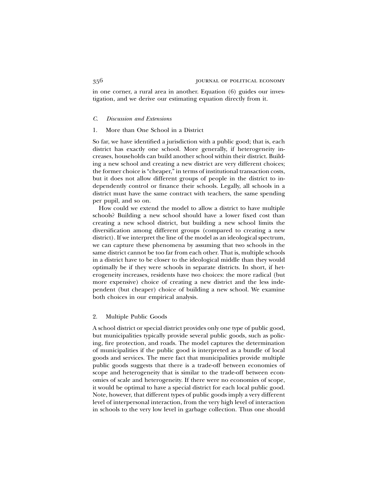in one corner, a rural area in another. Equation (6) guides our investigation, and we derive our estimating equation directly from it.

#### *C. Discussion and Extensions*

#### 1. More than One School in a District

So far, we have identified a jurisdiction with a public good; that is, each district has exactly one school. More generally, if heterogeneity increases, households can build another school within their district. Building a new school and creating a new district are very different choices; the former choice is "cheaper," in terms of institutional transaction costs, but it does not allow different groups of people in the district to independently control or finance their schools. Legally, all schools in a district must have the same contract with teachers, the same spending per pupil, and so on.

How could we extend the model to allow a district to have multiple schools? Building a new school should have a lower fixed cost than creating a new school district, but building a new school limits the diversification among different groups (compared to creating a new district). If we interpret the line of the model as an ideological spectrum, we can capture these phenomena by assuming that two schools in the same district cannot be too far from each other. That is, multiple schools in a district have to be closer to the ideological middle than they would optimally be if they were schools in separate districts. In short, if heterogeneity increases, residents have two choices: the more radical (but more expensive) choice of creating a new district and the less independent (but cheaper) choice of building a new school. We examine both choices in our empirical analysis.

#### 2. Multiple Public Goods

A school district or special district provides only one type of public good, but municipalities typically provide several public goods, such as policing, fire protection, and roads. The model captures the determination of municipalities if the public good is interpreted as a bundle of local goods and services. The mere fact that municipalities provide multiple public goods suggests that there is a trade-off between economies of scope and heterogeneity that is similar to the trade-off between economies of scale and heterogeneity. If there were no economies of scope, it would be optimal to have a special district for each local public good. Note, however, that different types of public goods imply a very different level of interpersonal interaction, from the very high level of interaction in schools to the very low level in garbage collection. Thus one should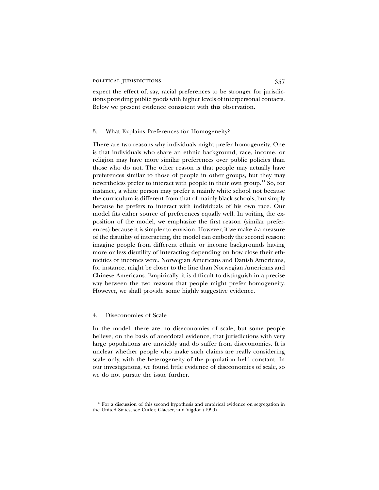expect the effect of, say, racial preferences to be stronger for jurisdictions providing public goods with higher levels of interpersonal contacts. Below we present evidence consistent with this observation.

#### 3. What Explains Preferences for Homogeneity?

There are two reasons why individuals might prefer homogeneity. One is that individuals who share an ethnic background, race, income, or religion may have more similar preferences over public policies than those who do not. The other reason is that people may actually have preferences similar to those of people in other groups, but they may nevertheless prefer to interact with people in their own group.<sup>11</sup> So, for instance, a white person may prefer a mainly white school not because the curriculum is different from that of mainly black schools, but simply because he prefers to interact with individuals of his own race. Our model fits either source of preferences equally well. In writing the exposition of the model, we emphasize the first reason (similar preferences) because it is simpler to envision. However, if we make *h* a measure of the disutility of interacting, the model can embody the second reason: imagine people from different ethnic or income backgrounds having more or less disutility of interacting depending on how close their ethnicities or incomes were. Norwegian Americans and Danish Americans, for instance, might be closer to the line than Norwegian Americans and Chinese Americans. Empirically, it is difficult to distinguish in a precise way between the two reasons that people might prefer homogeneity. However, we shall provide some highly suggestive evidence.

#### 4. Diseconomies of Scale

In the model, there are no diseconomies of scale, but some people believe, on the basis of anecdotal evidence, that jurisdictions with very large populations are unwieldy and do suffer from diseconomies. It is unclear whether people who make such claims are really considering scale only, with the heterogeneity of the population held constant. In our investigations, we found little evidence of diseconomies of scale, so we do not pursue the issue further.

<sup>&</sup>lt;sup>11</sup> For a discussion of this second hypothesis and empirical evidence on segregation in the United States, see Cutler, Glaeser, and Vigdor (1999).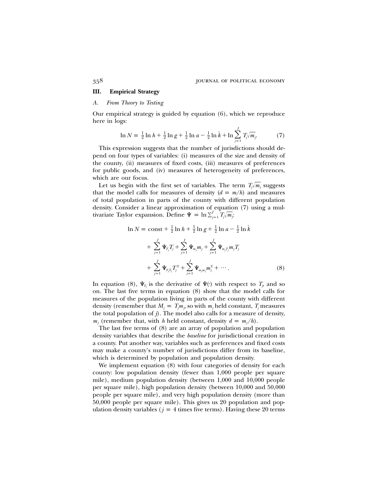#### **III. Empirical Strategy**

#### *A. From Theory to Testing*

Our empirical strategy is guided by equation (6), which we reproduce here in logs:

$$
\ln N = \frac{1}{2} \ln h + \frac{1}{2} \ln g + \frac{1}{2} \ln a - \frac{1}{2} \ln \bar{k} + \ln \sum_{j=1}^{J} T_j \sqrt{m_j}.
$$
 (7)

This expression suggests that the number of jurisdictions should depend on four types of variables: (i) measures of the size and density of the county, (ii) measures of fixed costs, (iii) measures of preferences for public goods, and (iv) measures of heterogeneity of preferences, which are our focus.

Let us begin with the first set of variables. The term  $T_j \sqrt{m_j}$  suggests that the model calls for measures of density  $(d = m/h)$  and measures of total population in parts of the county with different population density. Consider a linear approximation of equation (7) using a multivariate Taylor expansion. Define  $\Psi = \ln \sum_{j=1}^{J} T_j \sqrt{m_j}$ 

$$
\ln N = \text{const} + \frac{1}{2} \ln h + \frac{1}{2} \ln g + \frac{1}{2} \ln a - \frac{1}{2} \ln \bar{h}
$$
  
+ 
$$
\sum_{j=1}^{J} \Psi_{T_j} T_j + \sum_{j=1}^{J} \Psi_{m_j} m_j + \sum_{j=1}^{J} \Psi_{m_j T_j} m_j T_j
$$
  
+ 
$$
\sum_{j=1}^{J} \Psi_{T_j T_j} T_j^2 + \sum_{j=1}^{J} \Psi_{m_j m_j} m_j^2 + \cdots
$$
 (8)

In equation (8),  $\Psi_{T_i}$  is the derivative of  $\Psi(\cdot)$  with respect to  $T_i$ , and so on. The last five terms in equation (8) show that the model calls for measures of the population living in parts of the county with different density (remember that  $M_i = T_j m_i$ , so with  $m_i$  held constant,  $T_i$  measures the total population of *j*). The model also calls for a measure of density,  $m_i$  (remember that, with *h* held constant, density  $d = m_i/h$ ).

The last five terms of (8) are an array of population and population density variables that describe the *baseline* for jurisdictional creation in a county. Put another way, variables such as preferences and fixed costs may make a county's number of jurisdictions differ from its baseline, which is determined by population and population density.

We implement equation (8) with four categories of density for each county: low population density (fewer than 1,000 people per square mile), medium population density (between 1,000 and 10,000 people per square mile), high population density (between 10,000 and 50,000 people per square mile), and very high population density (more than 50,000 people per square mile). This gives us 20 population and population density variables ( $i = 4$  times five terms). Having these 20 terms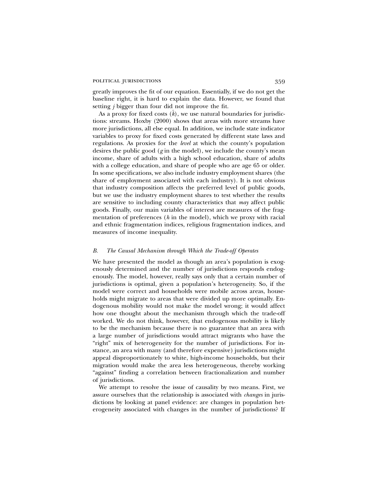#### POLITICAL JURISDICTIONS 359

greatly improves the fit of our equation. Essentially, if we do not get the baseline right, it is hard to explain the data. However, we found that setting *j* bigger than four did not improve the fit.

As a proxy for fixed costs  $(k)$ , we use natural boundaries for jurisdictions: streams. Hoxby (2000) shows that areas with more streams have more jurisdictions, all else equal. In addition, we include state indicator variables to proxy for fixed costs generated by different state laws and regulations. As proxies for the *level* at which the county's population desires the public good (*g* in the model), we include the county's mean income, share of adults with a high school education, share of adults with a college education, and share of people who are age 65 or older. In some specifications, we also include industry employment shares (the share of employment associated with each industry). It is not obvious that industry composition affects the preferred level of public goods, but we use the industry employment shares to test whether the results are sensitive to including county characteristics that *may* affect public goods. Finally, our main variables of interest are measures of the fragmentation of preferences (*h* in the model), which we proxy with racial and ethnic fragmentation indices, religious fragmentation indices, and measures of income inequality.

#### *B. The Causal Mechanism through Which the Trade-off Operates*

We have presented the model as though an area's population is exogenously determined and the number of jurisdictions responds endogenously. The model, however, really says only that a certain number of jurisdictions is optimal, given a population's heterogeneity. So, if the model were correct and households were mobile across areas, households might migrate to areas that were divided up more optimally. Endogenous mobility would not make the model wrong; it would affect how one thought about the mechanism through which the trade-off worked. We do not think, however, that endogenous mobility is likely to be the mechanism because there is no guarantee that an area with a large number of jurisdictions would attract migrants who have the "right" mix of heterogeneity for the number of jurisdictions. For instance, an area with many (and therefore expensive) jurisdictions might appeal disproportionately to white, high-income households, but their migration would make the area less heterogeneous, thereby working "against" finding a correlation between fractionalization and number of jurisdictions.

We attempt to resolve the issue of causality by two means. First, we assure ourselves that the relationship is associated with *changes* in jurisdictions by looking at panel evidence: are changes in population heterogeneity associated with changes in the number of jurisdictions? If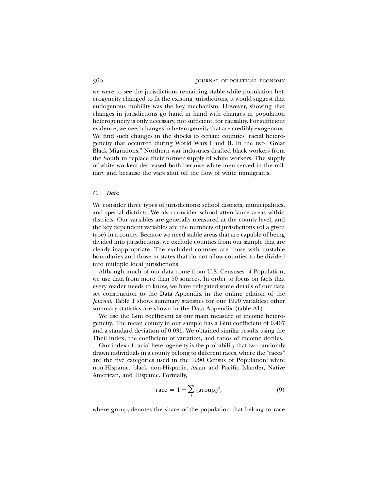we were to see the jurisdictions remaining stable while population heterogeneity changed to fit the existing jurisdictions, it would suggest that endogenous mobility was the key mechanism. However, showing that changes in jurisdictions go hand in hand with changes in population heterogeneity is only necessary, not sufficient, for causality. For sufficient evidence, we need changes in heterogeneity that are credibly exogenous. We find such changes in the shocks to certain counties' racial heterogeneity that occurred during World Wars I and II. In the two "Great Black Migrations," Northern war industries drafted black workers from the South to replace their former supply of white workers. The supply of white workers decreased both because white men served in the military and because the wars shut off the flow of white immigrants.

#### *C. Data*

We consider three types of jurisdictions: school districts, municipalities, and special districts. We also consider school attendance areas within districts. Our variables are generally measured at the county level, and the key dependent variables are the numbers of jurisdictions (of a given type) in a county. Because we need stable areas that are capable of being divided into jurisdictions, we exclude counties from our sample that are clearly inappropriate. The excluded counties are those with unstable boundaries and those in states that do not allow counties to be divided into multiple local jurisdictions.

Although much of our data come from U.S. Censuses of Population, we use data from more than 50 sources. In order to focus on facts that every reader needs to know, we have relegated some details of our data set construction to the Data Appendix in the online edition of the *Journal*. Table 1 shows summary statistics for our 1990 variables; other summary statistics are shown in the Data Appendix (table A1).

We use the Gini coefficient as our main measure of income heterogeneity. The mean county in our sample has a Gini coefficient of 0.407 and a standard deviation of 0.031. We obtained similar results using the Theil index, the coefficient of variation, and ratios of income deciles.

Our index of racial heterogeneity is the probability that two randomly drawn individuals in a county belong to different races, where the "races" are the five categories used in the 1990 Census of Population: white non-Hispanic, black non-Hispanic, Asian and Pacific Islander, Native American, and Hispanic. Formally,

$$
\text{race} = 1 - \sum_{i} (\text{group}_i)^2,\tag{9}
$$

where group<sub>i</sub> denotes the share of the population that belong to race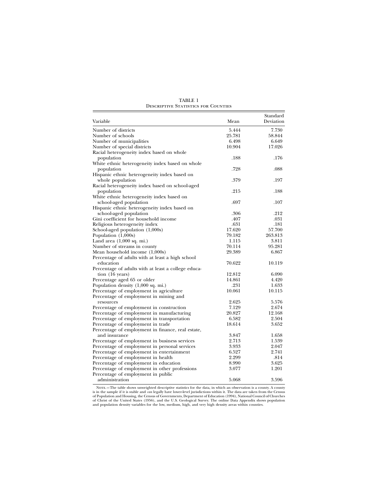| Variable                                            | Mean   | Standard<br>Deviation |
|-----------------------------------------------------|--------|-----------------------|
| Number of districts                                 | 5.444  | 7.730                 |
| Number of schools                                   | 25.781 | 58.844                |
| Number of municipalities                            | 6.498  | 6.649                 |
| Number of special districts                         | 10.904 | 17.026                |
| Racial heterogeneity index based on whole           |        |                       |
| population                                          | .188   | .176                  |
| White ethnic heterogeneity index based on whole     |        |                       |
| population                                          | .728   | .088                  |
| Hispanic ethnic heterogeneity index based on        |        |                       |
| whole population                                    | .379   | .197                  |
| Racial heterogeneity index based on school-aged     |        |                       |
| population                                          | .215   | .188                  |
| White ethnic heterogeneity index based on           |        |                       |
| school-aged population                              | .697   | .107                  |
| Hispanic ethnic heterogeneity index based on        |        |                       |
| school-aged population                              | .306   | .212                  |
| Gini coefficient for household income               | .407   | .031                  |
| Religious heterogeneity index                       | .631   | .181                  |
| School-aged population (1,000s)                     | 17.620 | 57.700                |
| Population (1,000s)                                 | 79.182 | 263.813               |
| Land area (1,000 sq. mi.)                           | 1.115  | 3.811                 |
| Number of streams in county                         | 70.114 | 95.281                |
| Mean household income (1,000s)                      | 29.389 | 6.867                 |
| Percentage of adults with at least a high school    |        |                       |
| education                                           | 70.622 | 10.119                |
| Percentage of adults with at least a college educa- |        |                       |
| tion $(16 \text{ years})$                           | 12.812 | 6.090                 |
| Percentage aged 65 or older                         | 14.861 | 4.420                 |
| Population density (1,000 sq. mi.)                  | .231   | 1.633                 |
| Percentage of employment in agriculture             | 10.061 | 10.115                |
| Percentage of employment in mining and              |        |                       |
| resources                                           | 2.625  | 5.576                 |
| Percentage of employment in construction            | 7.129  | 2.674                 |
| Percentage of employment in manufacturing           | 20.827 | 12.168                |
| Percentage of employment in transportation          | 6.582  | 2.504                 |
| Percentage of employment in trade                   | 18.614 | 3.652                 |
| Percentage of employment in finance, real estate,   |        |                       |
| and insurance                                       | 3.847  | 1.658                 |
| Percentage of employment in business services       | 2.713  | 1.539                 |
| Percentage of employment in personal services       | 3.933  | 2.047                 |
| Percentage of employment in entertainment           | 6.527  | 2.741                 |
| Percentage of employment in health                  | 2.299  | .814                  |
| Percentage of employment in education               | 8.990  | 3.625                 |
| Percentage of employment in other professions       | 3.077  | 1.201                 |
| Percentage of employment in public                  |        |                       |
| administration                                      | 5.068  | 3.596                 |
|                                                     |        |                       |

TABLE 1 Descriptive Statistics for Counties

NorE.—The table shows unweighted descriptive statistics for the data, in which an observation is a county. A county<br>is in the sample if it is stable and *can* legally have lower-level jurisdictions within it. The data are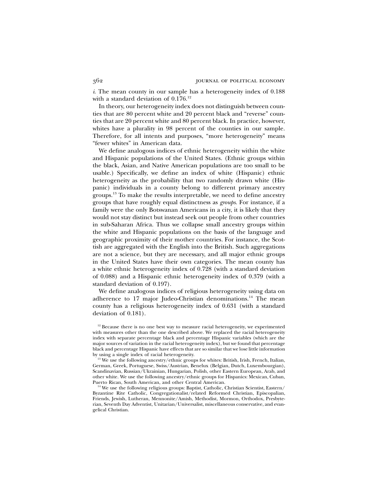*i*. The mean county in our sample has a heterogeneity index of 0.188 with a standard deviation of  $0.176$ .<sup>12</sup>

In theory, our heterogeneity index does not distinguish between counties that are 80 percent white and 20 percent black and "reverse" counties that are 20 percent white and 80 percent black. In practice, however, whites have a plurality in 98 percent of the counties in our sample. Therefore, for all intents and purposes, "more heterogeneity" means "fewer whites" in American data.

We define analogous indices of ethnic heterogeneity within the white and Hispanic populations of the United States. (Ethnic groups within the black, Asian, and Native American populations are too small to be usable.) Specifically, we define an index of white (Hispanic) ethnic heterogeneity as the probability that two randomly drawn white (Hispanic) individuals in a county belong to different primary ancestry groups.<sup>13</sup> To make the results interpretable, we need to define ancestry groups that have roughly equal distinctness as *groups*. For instance, if a family were the only Botswanan Americans in a city, it is likely that they would not stay distinct but instead seek out people from other countries in sub-Saharan Africa. Thus we collapse small ancestry groups within the white and Hispanic populations on the basis of the language and geographic proximity of their mother countries. For instance, the Scottish are aggregated with the English into the British. Such aggregations are not a science, but they are necessary, and all major ethnic groups in the United States have their own categories. The mean county has a white ethnic heterogeneity index of 0.728 (with a standard deviation of 0.088) and a Hispanic ethnic heterogeneity index of 0.379 (with a standard deviation of 0.197).

We define analogous indices of religious heterogeneity using data on adherence to 17 major Judeo-Christian denominations.<sup>14</sup> The mean county has a religious heterogeneity index of 0.631 (with a standard deviation of 0.181).

<sup>&</sup>lt;sup>12</sup> Because there is no one best way to measure racial heterogeneity, we experimented with measures other than the one described above. We replaced the racial heterogeneity index with separate percentage black and percentage Hispanic variables (which are the major sources of variation in the racial heterogeneity index), but we found that percentage black and percentage Hispanic have effects that are so similar that we lose little information by using a single index of racial heterogeneity.

<sup>&</sup>lt;sup>13</sup> We use the following ancestry/ethnic groups for whites: British, Irish, French, Italian, German, Greek, Portuguese, Swiss/Austrian, Benelux (Belgian, Dutch, Luxembourgian), Scandinavian, Russian/Ukrainian, Hungarian, Polish, other Eastern European, Arab, and other white. We use the following ancestry/ethnic groups for Hispanics: Mexican, Cuban, Puerto Rican, South American, and other Central American.

<sup>&</sup>lt;sup>14</sup> We use the following religious groups: Baptist, Catholic, Christian Scientist, Eastern/ Byzantine Rite Catholic, Congregationalist/related Reformed Christian, Episcopalian, Friends, Jewish, Lutheran, Mennonite/Amish, Methodist, Mormon, Orthodox, Presbyterian, Seventh Day Adventist, Unitarian/Universalist, miscellaneous conservative, and evangelical Christian.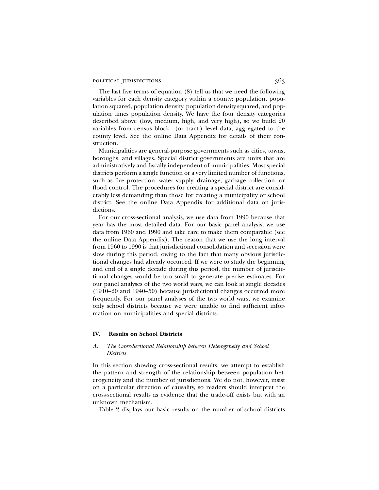#### political jurisdictions 363

The last five terms of equation (8) tell us that we need the following variables for each density category within a county: population, population squared, population density, population density squared, and population times population density. We have the four density categories described above (low, medium, high, and very high), so we build 20 variables from census block– (or tract-) level data, aggregated to the county level. See the online Data Appendix for details of their construction.

Municipalities are general-purpose governments such as cities, towns, boroughs, and villages. Special district governments are units that are administratively and fiscally independent of municipalities. Most special districts perform a single function or a very limited number of functions, such as fire protection, water supply, drainage, garbage collection, or flood control. The procedures for creating a special district are considerably less demanding than those for creating a municipality or school district. See the online Data Appendix for additional data on jurisdictions.

For our cross-sectional analysis, we use data from 1990 because that year has the most detailed data. For our basic panel analysis, we use data from 1960 and 1990 and take care to make them comparable (see the online Data Appendix). The reason that we use the long interval from 1960 to 1990 is that jurisdictional consolidation and secession were slow during this period, owing to the fact that many obvious jurisdictional changes had already occurred. If we were to study the beginning and end of a single decade during this period, the number of jurisdictional changes would be too small to generate precise estimates. For our panel analyses of the two world wars, we can look at single decades (1910–20 and 1940–50) because jurisdictional changes occurred more frequently. For our panel analyses of the two world wars, we examine only school districts because we were unable to find sufficient information on municipalities and special districts.

#### **IV. Results on School Districts**

#### *A. The Cross-Sectional Relationship between Heterogeneity and School Districts*

In this section showing cross-sectional results, we attempt to establish the pattern and strength of the relationship between population heterogeneity and the number of jurisdictions. We do not, however, insist on a particular direction of causality, so readers should interpret the cross-sectional results as evidence that the trade-off exists but with an unknown mechanism.

Table 2 displays our basic results on the number of school districts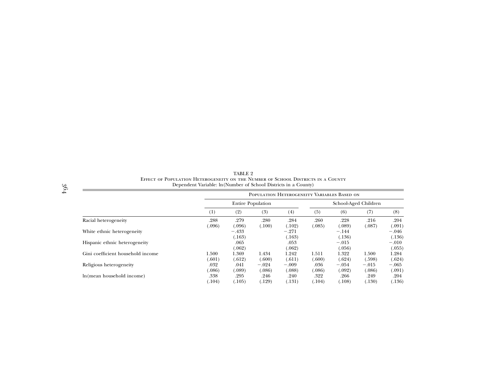| LIFECT OF POPULATION FIETEROGENEITY ON THE NUMBER OF SCHOOL DISTRICTS IN A COUNTY<br>Dependent Variable: ln (Number of School Districts in a County) |                          |  |  |  |                                             |  |
|------------------------------------------------------------------------------------------------------------------------------------------------------|--------------------------|--|--|--|---------------------------------------------|--|
|                                                                                                                                                      |                          |  |  |  | POPULATION HETEROGENEITY VARIABLES BASED ON |  |
|                                                                                                                                                      | <b>Entire Population</b> |  |  |  | School-Aged Chile                           |  |
|                                                                                                                                                      |                          |  |  |  | (6)                                         |  |

 $\equiv$ 

TABLE 2<br>Еffеct of Population Heterogeneity on the Number of School Districts in a County<br>Dependent Variable: ln(Number of School Districts in a County)

|                                   | <b>Entire Population</b> |                   |         | School-Aged Children |         |                   |         |                   |
|-----------------------------------|--------------------------|-------------------|---------|----------------------|---------|-------------------|---------|-------------------|
|                                   | $^{(1)}$                 | (2)               | (3)     | (4)                  | (5)     | (6)               | (7)     | (8)               |
| Racial heterogeneity              | .288                     | .279              | .280    | .284                 | .260    | .228              | .216    | .204              |
|                                   | 0.096                    | 0.096             | (.100)  | (.102)               | (.085)  | (.089)            | (.087)  | (.091)            |
| White ethnic heterogeneity        |                          | $-.433$<br>(.163) |         | $-.271$<br>(163)     |         | $-.144$<br>(.136) |         | $-.046$<br>(.136) |
| Hispanic ethnic heterogeneity     |                          | .065<br>(.062)    |         | .053<br>(.062)       |         | $-.015$<br>(.056) |         | $-.010$<br>(.055) |
| Gini coefficient household income | 1.500                    | 1.369             | 1.434   | 1.242                | 1.511   | 1.322             | 1.500   | 1.284             |
|                                   | .601)                    | (.612)            | (.600)  | (.611)               | (.600)  | (.624)            | (.598)  | (.624)            |
| Religious heterogeneity           | .032                     | .041              | $-.024$ | $-.009$              | .036    | $-.054$           | $-.015$ | $-.065$           |
|                                   | 0.086                    | 0.089             | (.086)  | (.088)               | (.086)  | (.092)            | (.086)  | (.091)            |
| In(mean household income)         | .338                     | .295              | .246    | .240                 | .322    | .266              | .249    | .204              |
|                                   | (.104)                   | (.105)            | (129)   | (131)                | (0.104) | (.108)            | (.130)  | (.136)            |

÷.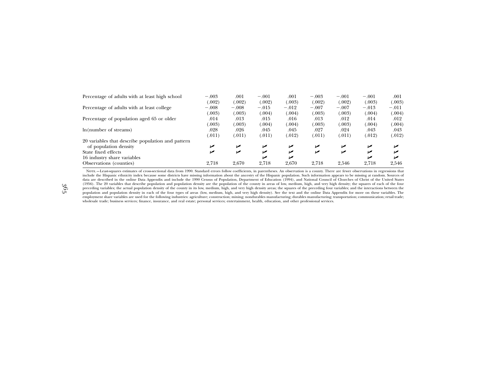| Percentage of adults with at least high school    | $-.003$ | .001    | $-.001$ | .001    | $-.003$ | $-.001$ | $-.001$ | .001    |
|---------------------------------------------------|---------|---------|---------|---------|---------|---------|---------|---------|
|                                                   | (.002)  | (.002)  | (.002)  | (.003)  | (.002)  | (.002)  | (.003)  | (.003)  |
| Percentage of adults with at least college        | $-.008$ | $-.008$ | $-.015$ | $-.012$ | $-.007$ | $-.007$ | $-.013$ | $-.011$ |
|                                                   | 003)    | (.003)  | (.004)  | (.004)  | (.003)  | (.003)  | (.004)  | (.004)  |
| Percentage of population aged 65 or older         | .014    | .013    | .015    | .016    | .013    | .012    | .014    | .012    |
|                                                   | .003)   | (.003)  | (.004)  | 0.004   | (.003)  | (.003)  | (.004)  | (.004)  |
| In(number of streams)                             | .028    | .026    | .045    | .045    | .027    | .024    | .043    | .043    |
|                                                   | (.011)  | (.011)  | (.011)  | (.012)  | (.011)  | (.011)  | (.012)  | (.012)  |
| 20 variables that describe population and pattern |         |         |         |         |         |         |         |         |
| of population density                             | مما     | مما     | مما     | مما     | مما     | مما     | ✔       |         |
| State fixed effects                               | مما     | مما     | ✔       | مما     | مما     | مما     | مما     |         |
| 16 industry share variables                       |         |         | مما     | مما     |         |         | ✔       | ممر     |
| Observations (counties)                           | 2.718   | 2.670   | 2.718   | 2.670   | 2.718   | 2.546   | 2.718   | 2,546   |

NOTE.-Least-squares estimates of cross-sectional data from 1990. Standard errors follow coefficients, in parentheses. An observation is a county. There are fewer observations in regressions that include the Hispanic ethnicity index because some districts have missing information about the ancestry of the Hispanic population. Such information appears to be missing at random. Sources of data are described in the online Data Appendix and include the 1990 Census of Population, Department of Education (1994), and National Council of Churches of Christ of the United States (1956). The 20 variables that describe population and population density are the population of the county in areas of low, medium, high, and very high density; the squares of each of the four preceding variables; the actual population density of the county in its low, medium, high, and very high density areas; the squares of the preceding four variables; and the interactions between the population and population density in each of the four types of areas (low, medium, high, and very high density). See the text and the online Data Appendix for more on these variables. The<br>employment share variables are use wholesale trade; business services; finance, insurance, and real estate; personal services; entertainment, health, education, and other professional services.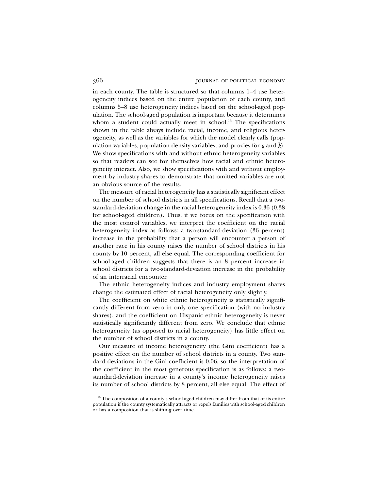in each county. The table is structured so that columns 1–4 use heterogeneity indices based on the entire population of each county, and columns 5–8 use heterogeneity indices based on the school-aged population. The school-aged population is important because it determines whom a student could actually meet in school.<sup>15</sup> The specifications shown in the table always include racial, income, and religious heterogeneity, as well as the variables for which the model clearly calls (population variables, population density variables, and proxies for  $g$  and  $\bar{k}$ ). We show specifications with and without ethnic heterogeneity variables so that readers can see for themselves how racial and ethnic heterogeneity interact. Also, we show specifications with and without employment by industry shares to demonstrate that omitted variables are not an obvious source of the results.

The measure of racial heterogeneity has a statistically significant effect on the number of school districts in all specifications. Recall that a twostandard-deviation change in the racial heterogeneity index is 0.36 (0.38 for school-aged children). Thus, if we focus on the specification with the most control variables, we interpret the coefficient on the racial heterogeneity index as follows: a two-standard-deviation (36 percent) increase in the probability that a person will encounter a person of another race in his county raises the number of school districts in his county by 10 percent, all else equal. The corresponding coefficient for school-aged children suggests that there is an 8 percent increase in school districts for a two-standard-deviation increase in the probability of an interracial encounter.

The ethnic heterogeneity indices and industry employment shares change the estimated effect of racial heterogeneity only slightly.

The coefficient on white ethnic heterogeneity is statistically significantly different from zero in only one specification (with no industry shares), and the coefficient on Hispanic ethnic heterogeneity is never statistically significantly different from zero. We conclude that ethnic heterogeneity (as opposed to racial heterogeneity) has little effect on the number of school districts in a county.

Our measure of income heterogeneity (the Gini coefficient) has a positive effect on the number of school districts in a county. Two standard deviations in the Gini coefficient is 0.06, so the interpretation of the coefficient in the most generous specification is as follows: a twostandard-deviation increase in a county's income heterogeneity raises its number of school districts by 8 percent, all else equal. The effect of

<sup>&</sup>lt;sup>15</sup> The composition of a county's school-aged children may differ from that of its entire population if the county systematically attracts or repels families with school-aged children or has a composition that is shifting over time.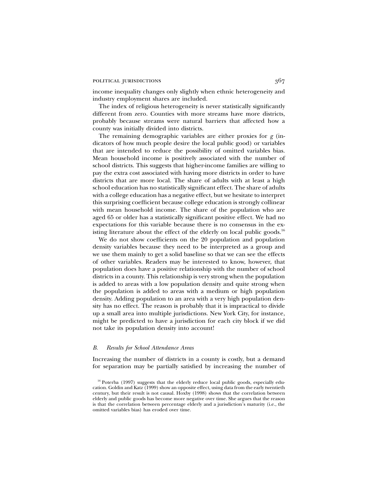income inequality changes only slightly when ethnic heterogeneity and industry employment shares are included.

The index of religious heterogeneity is never statistically significantly different from zero. Counties with more streams have more districts, probably because streams were natural barriers that affected how a county was initially divided into districts.

The remaining demographic variables are either proxies for *g* (indicators of how much people desire the local public good) or variables that are intended to reduce the possibility of omitted variables bias. Mean household income is positively associated with the number of school districts. This suggests that higher-income families are willing to pay the extra cost associated with having more districts in order to have districts that are more local. The share of adults with at least a high school education has no statistically significant effect. The share of adults with a college education has a negative effect, but we hesitate to interpret this surprising coefficient because college education is strongly collinear with mean household income. The share of the population who are aged 65 or older has a statistically significant positive effect. We had no expectations for this variable because there is no consensus in the existing literature about the effect of the elderly on local public goods.<sup>16</sup>

We do not show coefficients on the 20 population and population density variables because they need to be interpreted as a group and we use them mainly to get a solid baseline so that we can see the effects of other variables. Readers may be interested to know, however, that population does have a positive relationship with the number of school districts in a county. This relationship is very strong when the population is added to areas with a low population density and quite strong when the population is added to areas with a medium or high population density. Adding population to an area with a very high population density has no effect. The reason is probably that it is impractical to divide up a small area into multiple jurisdictions. New York City, for instance, might be predicted to have a jurisdiction for each city block if we did not take its population density into account!

#### *B. Results for School Attendance Areas*

Increasing the number of districts in a county is costly, but a demand for separation may be partially satisfied by increasing the number of

<sup>&</sup>lt;sup>16</sup> Poterba (1997) suggests that the elderly reduce local public goods, especially education. Goldin and Katz (1999) show an opposite effect, using data from the early twentieth century, but their result is not causal. Hoxby (1998) shows that the correlation between elderly and public goods has become more negative over time. She argues that the reason is that the correlation between percentage elderly and a jurisdiction's maturity (i.e., the omitted variables bias) has eroded over time.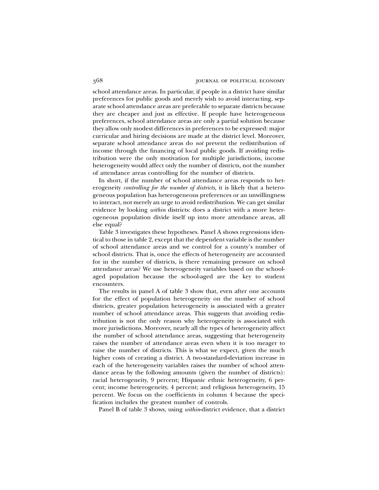school attendance areas. In particular, if people in a district have similar preferences for public goods and merely wish to avoid interacting, separate school attendance areas are preferable to separate districts because they are cheaper and just as effective. If people have heterogeneous preferences, school attendance areas are only a partial solution because they allow only modest differences in preferences to be expressed: major curricular and hiring decisions are made at the district level. Moreover, separate school attendance areas do *not* prevent the redistribution of income through the financing of local public goods. If avoiding redistribution were the only motivation for multiple jurisdictions, income heterogeneity would affect only the number of districts, not the number of attendance areas controlling for the number of districts.

In short, if the number of school attendance areas responds to heterogeneity *controlling for the number of districts*, it is likely that a heterogeneous population has heterogeneous preferences or an unwillingness to interact, not merely an urge to avoid redistribution. We can get similar evidence by looking *within* districts: does a district with a more heterogeneous population divide itself up into more attendance areas, all else equal?

Table 3 investigates these hypotheses. Panel A shows regressions identical to those in table 2, except that the dependent variable is the number of school attendance areas and we control for a county's number of school districts. That is, once the effects of heterogeneity are accounted for in the number of districts, is there remaining pressure on school attendance areas? We use heterogeneity variables based on the schoolaged population because the school-aged are the key to student encounters.

The results in panel A of table 3 show that, even after one accounts for the effect of population heterogeneity on the number of school districts, greater population heterogeneity is associated with a greater number of school attendance areas. This suggests that avoiding redistribution is not the only reason why heterogeneity is associated with more jurisdictions. Moreover, nearly all the types of heterogeneity affect the number of school attendance areas, suggesting that heterogeneity raises the number of attendance areas even when it is too meager to raise the number of districts. This is what we expect, given the much higher costs of creating a district. A two-standard-deviation increase in each of the heterogeneity variables raises the number of school attendance areas by the following amounts (given the number of districts): racial heterogeneity, 9 percent; Hispanic ethnic heterogeneity, 6 percent; income heterogeneity, 4 percent; and religious heterogeneity, 15 percent. We focus on the coefficients in column 4 because the specification includes the greatest number of controls.

Panel B of table 3 shows, using *within*-district evidence, that a district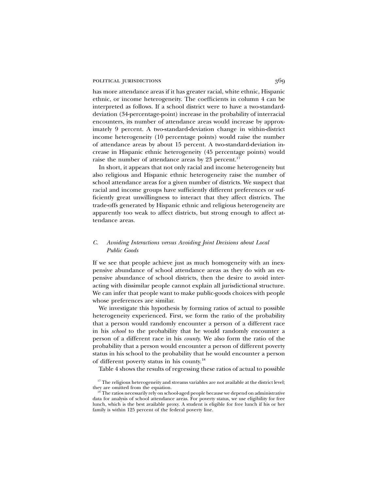has more attendance areas if it has greater racial, white ethnic, Hispanic ethnic, or income heterogeneity. The coefficients in column 4 can be interpreted as follows. If a school district were to have a two-standarddeviation (34-percentage-point) increase in the probability of interracial encounters, its number of attendance areas would increase by approximately 9 percent. A two-standard-deviation change in within-district income heterogeneity (10 percentage points) would raise the number of attendance areas by about 15 percent. A two-standard-deviation increase in Hispanic ethnic heterogeneity (45 percentage points) would raise the number of attendance areas by 23 percent.<sup>17</sup>

In short, it appears that not only racial and income heterogeneity but also religious and Hispanic ethnic heterogeneity raise the number of school attendance areas for a given number of districts. We suspect that racial and income groups have sufficiently different preferences or sufficiently great unwillingness to interact that they affect districts. The trade-offs generated by Hispanic ethnic and religious heterogeneity are apparently too weak to affect districts, but strong enough to affect attendance areas.

#### *C. Avoiding Interactions versus Avoiding Joint Decisions about Local Public Goods*

If we see that people achieve just as much homogeneity with an inexpensive abundance of school attendance areas as they do with an expensive abundance of school districts, then the desire to avoid interacting with dissimilar people cannot explain all jurisdictional structure. We can infer that people want to make public-goods choices with people whose preferences are similar.

We investigate this hypothesis by forming ratios of actual to possible heterogeneity experienced. First, we form the ratio of the probability that a person would randomly encounter a person of a different race in his *school* to the probability that he would randomly encounter a person of a different race in his *county*. We also form the ratio of the probability that a person would encounter a person of different poverty status in his school to the probability that he would encounter a person of different poverty status in his county.<sup>18</sup>

Table 4 shows the results of regressing these ratios of actual to possible

<sup>&</sup>lt;sup>17</sup> The religious heterogeneity and streams variables are not available at the district level; they are omitted from the equation.

<sup>&</sup>lt;sup>18</sup> The ratios necessarily rely on school-aged people because we depend on administrative data for analysis of school attendance areas. For poverty status, we use eligibility for free lunch, which is the best available proxy. A student is eligible for free lunch if his or her family is within 125 percent of the federal poverty line.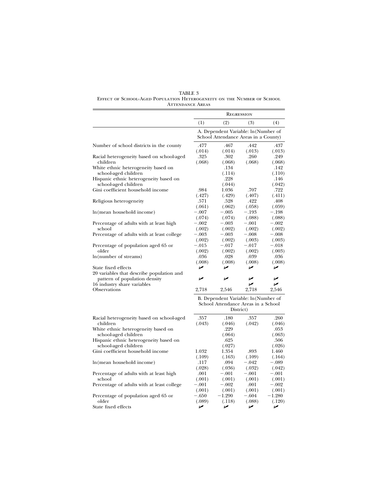| TABLE 3                                                                |
|------------------------------------------------------------------------|
| EFFECT OF SCHOOL-AGED POPULATION HETEROGENEITY ON THE NUMBER OF SCHOOL |
| <b>ATTENDANCE AREAS</b>                                                |

|                                                                                                           |                          | REGRESSION                                                                               |                          |                          |
|-----------------------------------------------------------------------------------------------------------|--------------------------|------------------------------------------------------------------------------------------|--------------------------|--------------------------|
|                                                                                                           | (1)                      | (2)                                                                                      | (3)                      | (4)                      |
|                                                                                                           |                          | A. Dependent Variable: ln(Number of<br>School Attendance Areas in a County)              |                          |                          |
| Number of school districts in the county                                                                  | .477                     | .467                                                                                     | .442                     | .437                     |
| Racial heterogeneity based on school-aged<br>children                                                     | (.014)<br>.325<br>(.068) | (.014)<br>.302<br>(.068)                                                                 | (.013)<br>.260<br>(.068) | (.013)<br>.249<br>(.068) |
| White ethnic heterogeneity based on<br>school-aged children                                               |                          | .134<br>(.114)                                                                           |                          | .142<br>(.110)           |
| Hispanic ethnic heterogeneity based on<br>school-aged children                                            |                          | .228<br>(.044)                                                                           |                          | .146<br>(.042)           |
| Gini coefficient household income                                                                         | .984<br>(.427)           | 1.036<br>(.429)                                                                          | .707<br>(.407)           | .722<br>(.411)           |
| Religious heterogeneity                                                                                   | .571<br>(.061)           | .528<br>(.062)                                                                           | .422<br>(.058)           | .408<br>(.059)           |
| In (mean household income)                                                                                | $-.007$<br>(.074)        | $-.005$<br>(.074)                                                                        | $-.193$<br>(.088)        | $-.198$<br>(.088)        |
| Percentage of adults with at least high<br>school                                                         | $-.002$<br>(.002)        | $-.003$<br>(.002)                                                                        | $-.001$<br>(.002)        | $-.002$<br>(.002)        |
| Percentage of adults with at least college                                                                | $-.003$<br>(.002)        | $-.003$<br>(.002)                                                                        | $-.008$<br>(.003)        | $-.008$<br>(.003)        |
| Percentage of population aged 65 or<br>older                                                              | $-.015$<br>(.002)        | $-.017$<br>(.002)                                                                        | $-.017$<br>(.002)        | $-.018$<br>(.003)        |
| In (number of streams)                                                                                    | .036<br>(.008)           | .028<br>(.008)                                                                           | .039<br>(.008)           | .036<br>(.008)           |
| State fixed effects                                                                                       | مما                      | مما                                                                                      | مما                      | مما                      |
| 20 variables that describe population and<br>pattern of population density<br>16 industry share variables | مما                      | مما                                                                                      | مما<br>مما               | مما<br>مما               |
| <b>Observations</b>                                                                                       | 2,718                    | 2,546                                                                                    | 2,718                    | 2,546                    |
|                                                                                                           |                          | B. Dependent Variable: ln (Number of<br>School Attendance Areas in a School<br>District) |                          |                          |
| Racial heterogeneity based on school-aged<br>children                                                     | .357<br>(.043)           | .180<br>(.046)                                                                           | .357<br>(.042)           | .260<br>(.046)           |
| White ethnic heterogeneity based on<br>school-aged children                                               |                          | .229<br>(.064)                                                                           |                          | .053<br>(.063)           |
| Hispanic ethnic heterogeneity based on<br>school-aged children                                            |                          | .625<br>(.027)                                                                           |                          | .506<br>(.026)           |
| Gini coefficient household income                                                                         | 1.032<br>(.109)          | 1.354<br>(.163)                                                                          | .893<br>(.109)           | 1.460<br>(.164)          |
| ln(mean household income)                                                                                 | .117<br>(.028)           | .094<br>(.036)                                                                           | $-.042$<br>(.032)        | $-.089$<br>(.042)        |
| Percentage of adults with at least high<br>school                                                         | .001<br>(.001)           | $-.001$<br>(.001)                                                                        | $-.001$<br>(.001)        | $-.001$<br>(.001)        |
| Percentage of adults with at least college                                                                | $-.001$<br>(.001)        | $-.002$<br>(.001)                                                                        | .001<br>(.001)           | $-.002$<br>(.001)        |
| Percentage of population aged 65 or<br>older                                                              | $-.650$<br>(.089)        | $-1.290$<br>(.118)                                                                       | $-.604$<br>(.088)        | $-1.280$<br>(.120)       |
| State fixed effects                                                                                       | ➤                        | ➤                                                                                        | ➤                        | ➤                        |

 $\overline{\phantom{a}}$ 

State fixed effects  $\blacksquare$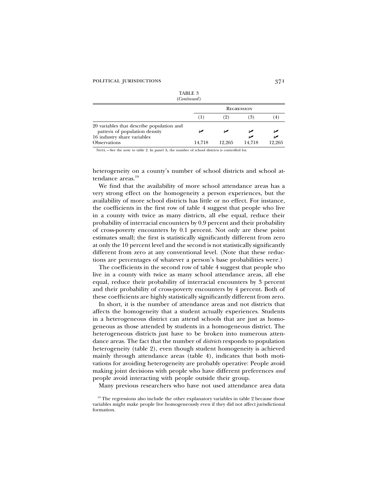| TABLE 3     |
|-------------|
| (Continued) |

|                                                                            | <b>REGRESSION</b> |        |        |        |  |  |  |
|----------------------------------------------------------------------------|-------------------|--------|--------|--------|--|--|--|
|                                                                            | (1)               | (2)    | (3)    | (4)    |  |  |  |
| 20 variables that describe population and<br>pattern of population density |                   |        |        |        |  |  |  |
| 16 industry share variables<br><b>Observations</b>                         | 14.718            | 12.265 | 14.718 | 12,265 |  |  |  |

NOTE.—See the note to table 2. In panel A, the number of school districts is controlled for.

heterogeneity on a county's number of school districts and school attendance areas.<sup>19</sup>

We find that the availability of more school attendance areas has a very strong effect on the homogeneity a person experiences, but the availability of more school districts has little or no effect. For instance, the coefficients in the first row of table 4 suggest that people who live in a county with twice as many districts, all else equal, reduce their probability of interracial encounters by 0.9 percent and their probability of cross-poverty encounters by 0.1 percent. Not only are these point estimates small; the first is statistically significantly different from zero at only the 10 percent level and the second is not statistically significantly different from zero at any conventional level. (Note that these reductions are percentages of whatever a person's base probabilities were.)

The coefficients in the second row of table 4 suggest that people who live in a county with twice as many school attendance areas, all else equal, reduce their probability of interracial encounters by 3 percent and their probability of cross-poverty encounters by 4 percent. Both of these coefficients are highly statistically significantly different from zero.

In short, it is the number of attendance areas and not districts that affects the homogeneity that a student actually experiences. Students in a heterogeneous district can attend schools that are just as homogeneous as those attended by students in a homogeneous district. The heterogeneous districts just have to be broken into numerous attendance areas. The fact that the number of *districts* responds to population heterogeneity (table 2), even though student homogeneity is achieved mainly through attendance areas (table 4), indicates that both motivations for avoiding heterogeneity are probably operative: People avoid making joint decisions with people who have different preferences *and* people avoid interacting with people outside their group.

Many previous researchers who have not used attendance area data

<sup>&</sup>lt;sup>19</sup> The regressions also include the other explanatory variables in table 2 because those variables might make people live homogeneously even if they did not affect jurisdictional formation.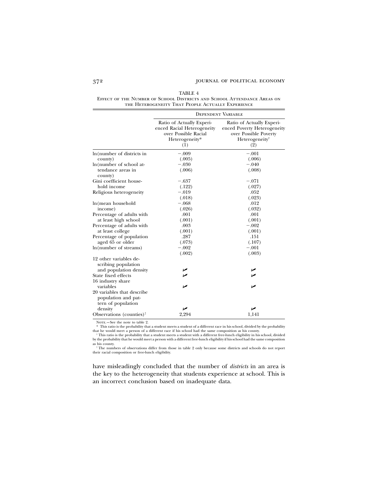#### TABLE 4

Effect of the Number of School Districts and School Attendance Areas on the Heterogeneity That People Actually Experience

|                                                   | <b>DEPENDENT VARIABLE</b>                                                                                |                                                                                                                        |  |  |  |  |
|---------------------------------------------------|----------------------------------------------------------------------------------------------------------|------------------------------------------------------------------------------------------------------------------------|--|--|--|--|
|                                                   | Ratio of Actually Experi-<br>enced Racial Heterogeneity<br>over Possible Racial<br>Heterogeneity*<br>(1) | Ratio of Actually Experi-<br>enced Poverty Heterogeneity<br>over Possible Poverty<br>Heterogeneity <sup>†</sup><br>(2) |  |  |  |  |
| In (number of districts in                        | $-.009$                                                                                                  | $-.001$                                                                                                                |  |  |  |  |
| county)                                           | (.005)                                                                                                   | (.006)                                                                                                                 |  |  |  |  |
| ln(number of school at-                           | $-.030$                                                                                                  | $-.040$                                                                                                                |  |  |  |  |
| tendance areas in<br>county)                      | (.006)                                                                                                   | (.008)                                                                                                                 |  |  |  |  |
| Gini coefficient house-                           | $-.637$                                                                                                  | $-.071$                                                                                                                |  |  |  |  |
| hold income                                       | (.122)                                                                                                   | (.027)                                                                                                                 |  |  |  |  |
| Religious heterogeneity                           | $-.019$                                                                                                  | .052                                                                                                                   |  |  |  |  |
|                                                   | (.018)                                                                                                   | (.023)                                                                                                                 |  |  |  |  |
| ln(mean household                                 | $-.068$                                                                                                  | .012                                                                                                                   |  |  |  |  |
| income)                                           | (.026)                                                                                                   | (.032)                                                                                                                 |  |  |  |  |
| Percentage of adults with                         | .001                                                                                                     | .001                                                                                                                   |  |  |  |  |
| at least high school                              | (.001)                                                                                                   | (.001)                                                                                                                 |  |  |  |  |
| Percentage of adults with                         | .003                                                                                                     | $-.002$                                                                                                                |  |  |  |  |
| at least college                                  | (.001)                                                                                                   | (.001)                                                                                                                 |  |  |  |  |
| Percentage of population                          | .287                                                                                                     | .151                                                                                                                   |  |  |  |  |
| aged 65 or older                                  | (.073)                                                                                                   | (.107)                                                                                                                 |  |  |  |  |
| In (number of streams)                            | $-.002$                                                                                                  | $-.001$                                                                                                                |  |  |  |  |
|                                                   | (.002)                                                                                                   | (.003)                                                                                                                 |  |  |  |  |
| 12 other variables de-<br>scribing population     |                                                                                                          |                                                                                                                        |  |  |  |  |
| and population density                            |                                                                                                          |                                                                                                                        |  |  |  |  |
| State fixed effects                               |                                                                                                          |                                                                                                                        |  |  |  |  |
| 16 industry share                                 |                                                                                                          |                                                                                                                        |  |  |  |  |
| variables                                         |                                                                                                          |                                                                                                                        |  |  |  |  |
| 20 variables that describe                        |                                                                                                          |                                                                                                                        |  |  |  |  |
| population and pat-                               |                                                                                                          |                                                                                                                        |  |  |  |  |
| tern of population                                |                                                                                                          |                                                                                                                        |  |  |  |  |
| density                                           |                                                                                                          | مما                                                                                                                    |  |  |  |  |
| Observations (counties) <sup><math>†</math></sup> | 2,294                                                                                                    | 1,141                                                                                                                  |  |  |  |  |

NorE.—See the note to table 2.<br>\* This ratio is the probability that a student meets a student of a different race in his school, divided by the probability that he would meet a person of a different race if his school had the same composition as his county.<br>† This ratio is the probability that a student meets a student with a different free-lunch eligibility in his school, di

by the probability that he would meet a person with a different free-lunch eligibility if his school had the same composition

as his county. ‡ The numbers of observations differ from those in table 2 only because some districts and schools do not report their racial composition or free-lunch eligibility.

have misleadingly concluded that the number of *districts* in an area is the key to the heterogeneity that students experience at school. This is an incorrect conclusion based on inadequate data.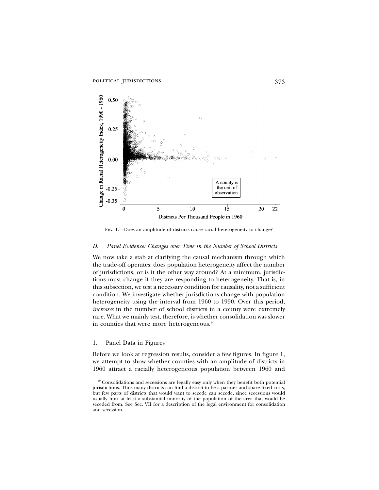

Fig. 1.—Does an amplitude of districts cause racial heterogeneity to change?

#### *D. Panel Evidence: Changes over Time in the Number of School Districts*

We now take a stab at clarifying the causal mechanism through which the trade-off operates: does population heterogeneity affect the number of jurisdictions, or is it the other way around? At a minimum, jurisdictions must change if they are responding to heterogeneity. That is, in this subsection, we test a necessary condition for causality, not a sufficient condition. We investigate whether jurisdictions change with population heterogeneity using the interval from 1960 to 1990. Over this period, *increases* in the number of school districts in a county were extremely rare. What we mainly test, therefore, is whether consolidation was slower in counties that were more heterogeneous.<sup>20</sup>

#### 1. Panel Data in Figures

Before we look at regression results, consider a few figures. In figure 1, we attempt to show whether counties with an amplitude of districts in 1960 attract a racially heterogeneous population between 1960 and

<sup>&</sup>lt;sup>20</sup> Consolidations and secessions are legally easy only when they benefit both potential jurisdictions. Thus many districts can find a district to be a partner and share fixed costs, but few parts of districts that would want to secede can secede, since secessions would usually hurt at least a substantial minority of the population of the area that would be seceded from. See Sec. VII for a description of the legal environment for consolidation and secession.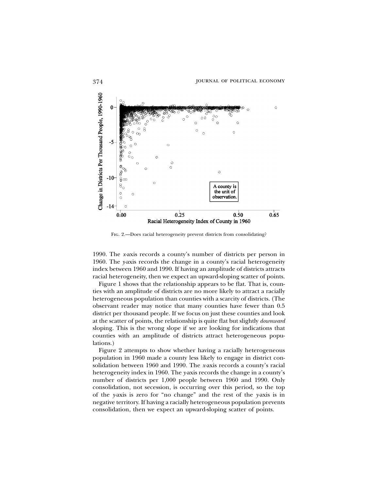

FIG. 2.-Does racial heterogeneity prevent districts from consolidating?

1990. The *x-*axis records a county's number of districts per person in 1960. The *y-*axis records the change in a county's racial heterogeneity index between 1960 and 1990. If having an amplitude of districts attracts racial heterogeneity, then we expect an upward-sloping scatter of points.

Figure 1 shows that the relationship appears to be flat. That is, counties with an amplitude of districts are no more likely to attract a racially heterogeneous population than counties with a scarcity of districts. (The observant reader may notice that many counties have fewer than 0.5 district per thousand people. If we focus on just these counties and look at the scatter of points, the relationship is quite flat but slightly *downward* sloping. This is the wrong slope if we are looking for indications that counties with an amplitude of districts attract heterogeneous populations.)

Figure 2 attempts to show whether having a racially heterogeneous population in 1960 made a county less likely to engage in district consolidation between 1960 and 1990. The *x-*axis records a county's racial heterogeneity index in 1960. The *y-*axis records the change in a county's number of districts per 1,000 people between 1960 and 1990. Only consolidation, not secession, is occurring over this period, so the top of the *y-*axis is zero for "no change" and the rest of the *y-*axis is in negative territory. If having a racially heterogeneous population prevents consolidation, then we expect an upward-sloping scatter of points.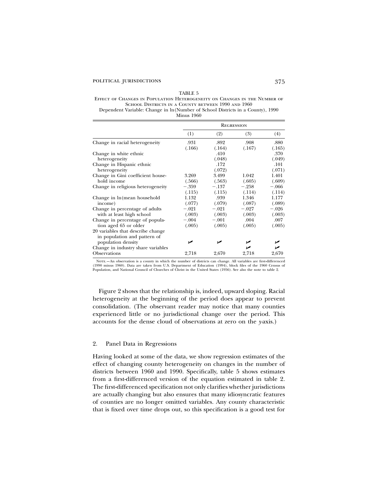#### political jurisdictions 375

#### TABLE 5

#### Effect of Changes in Population Heterogeneity on Changes in the Number of SCHOOL DISTRICTS IN A COUNTY BETWEEN 1990 AND 1960 Dependent Variable: Change in ln(Number of School Districts in a County), 1990

Minus 1960

|                                                    |         | <b>REGRESSION</b> |         |         |  |  |  |
|----------------------------------------------------|---------|-------------------|---------|---------|--|--|--|
|                                                    | (1)     | (2)               | (3)     | (4)     |  |  |  |
| Change in racial heterogeneity                     | .931    | .892              | .908    | .880    |  |  |  |
|                                                    | (.166)  | (.164)            | (.167)  | (.165)  |  |  |  |
| Change in white ethnic                             |         | .410              |         | .370    |  |  |  |
| heterogeneity                                      |         | (.048)            |         | (.049)  |  |  |  |
| Change in Hispanic ethnic                          |         | .172              |         | .101    |  |  |  |
| heterogeneity                                      |         | (.072)            |         | (.071)  |  |  |  |
| Change in Gini coefficient house-                  | 3.269   | 3.499             | 1.042   | 1.401   |  |  |  |
| hold income                                        | (.566)  | (.563)            | (.605)  | (.609)  |  |  |  |
| Change in religious heterogeneity                  | $-.359$ | $-.137$           | $-.258$ | $-.066$ |  |  |  |
|                                                    | (.115)  | (.115)            | (.114)  | (.114)  |  |  |  |
| Change in ln(mean household                        | 1.132   | .939              | 1.346   | 1.177   |  |  |  |
| income)                                            | (.077)  | (.079)            | (.087)  | (.089)  |  |  |  |
| Change in percentage of adults                     | $-.021$ | $-.021$           | $-.027$ | $-.026$ |  |  |  |
| with at least high school                          | (.003)  | (.003)            | (.003)  | (.003)  |  |  |  |
| Change in percentage of popula-                    | $-.004$ | $-.001$           | .004    | .007    |  |  |  |
| tion aged 65 or older                              | (.005)  | (.005)            | (.005)  | (.005)  |  |  |  |
| 20 variables that describe change                  |         |                   |         |         |  |  |  |
| in population and pattern of<br>population density | حرا     |                   |         |         |  |  |  |
| Change in industry share variables                 |         |                   |         |         |  |  |  |
| <b>Observations</b>                                | 2,718   | 2,670             | 2,718   | 2,670   |  |  |  |

NOTE. - An observation is a county in which the number of districts can change. All variables are first-differenced (1990 minus 1960). Data are taken from U.S. Department of Education (1994), block files of the 1960 Census of Population, and National Council of Churches of Christ in the United States (1956). See also the note to table 2.

Figure 2 shows that the relationship is, indeed, upward sloping. Racial heterogeneity at the beginning of the period does appear to prevent consolidation. (The observant reader may notice that many counties experienced little or no jurisdictional change over the period. This accounts for the dense cloud of observations at zero on the *y-*axis.)

#### 2. Panel Data in Regressions

Having looked at some of the data, we show regression estimates of the effect of changing county heterogeneity on changes in the number of districts between 1960 and 1990. Specifically, table 5 shows estimates from a first-differenced version of the equation estimated in table 2. The first-differenced specification not only clarifies whether jurisdictions are actually changing but also ensures that many idiosyncratic features of counties are no longer omitted variables. Any county characteristic that is fixed over time drops out, so this specification is a good test for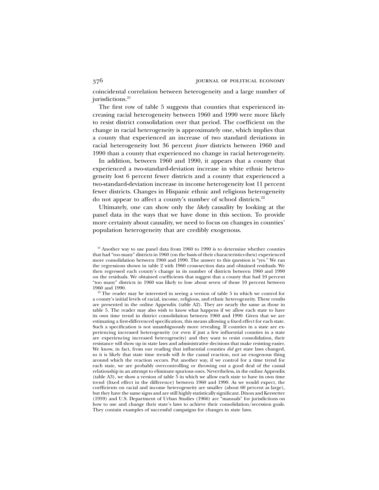coincidental correlation between heterogeneity and a large number of jurisdictions.<sup>21</sup>

The first row of table 5 suggests that counties that experienced increasing racial heterogeneity between 1960 and 1990 were more likely to resist district consolidation over that period. The coefficient on the change in racial heterogeneity is approximately one, which implies that a county that experienced an increase of two standard deviations in racial heterogeneity lost 36 percent *fewer* districts between 1960 and 1990 than a county that experienced no change in racial heterogeneity.

In addition, between 1960 and 1990, it appears that a county that experienced a two-standard-deviation increase in white ethnic heterogeneity lost 6 percent fewer districts and a county that experienced a two-standard-deviation increase in income heterogeneity lost 11 percent fewer districts. Changes in Hispanic ethnic and religious heterogeneity do not appear to affect a county's number of school districts.<sup>22</sup>

Ultimately, one can show only the *likely* causality by looking at the panel data in the ways that we have done in this section. To provide more certainty about causality, we need to focus on changes in counties' population heterogeneity that are credibly exogenous.

 $21$  Another way to use panel data from 1960 to 1990 is to determine whether counties that had "too many" districts in 1960 (on the basis of their characteristics then) experienced more consolidation between 1960 and 1990. The answer to this question is "yes." We ran the regressions shown in table 2 with 1960 cross-section data and obtained residuals. We then regressed each county's change in its number of districts between 1960 and 1990 on the residuals. We obtained coefficients that suggest that a county that had 10 percent "too many" districts in 1960 was likely to lose about seven of those 10 percent between 1960 and 1990.

<sup>&</sup>lt;sup>22</sup> The reader may be interested in seeing a version of table 5 in which we control for a county's initial levels of racial, income, religious, and ethnic heterogeneity. These results are presented in the online Appendix (table A2). They are nearly the same as those in table 5. The reader may also wish to know what happens if we allow each state to have its own time trend in district consolidation between 1960 and 1990. Given that we are estimating a first-differenced specification, this means allowing a fixed effect for each state. Such a specification is not unambiguously more revealing. If counties in a state are experiencing increased heterogeneity (or even if just a few influential counties in a state are experiencing increased heterogeneity) and they want to resist consolidation, their resistance will show up in state laws and administrative decisions that make resisting easier. We know, in fact, from our reading that influential counties *did* get state laws changed, so it is likely that state time trends will *be* the causal reaction, not an exogenous thing around which the reaction occurs. Put another way, if we control for a time trend for each state, we are probably overcontrolling or throwing out a good deal of the causal relationship in an attempt to eliminate spurious ones. Nevertheless, in the online Appendix (table A3), we show a version of table  $\overline{5}$  in which we allow each state to have its own time trend (fixed effect in the difference) between 1960 and 1990. As we would expect, the coefficients on racial and income heterogeneity are smaller (about 60 percent as large), but they have the same signs and are still highly statistically significant. Dixon and Kerstetter (1959) and U.S. Department of Urban Studies (1966) are "manuals" for jurisdictions on how to use and change their state's laws to achieve their consolidation/secession goals. They contain examples of successful campaigns for changes in state laws.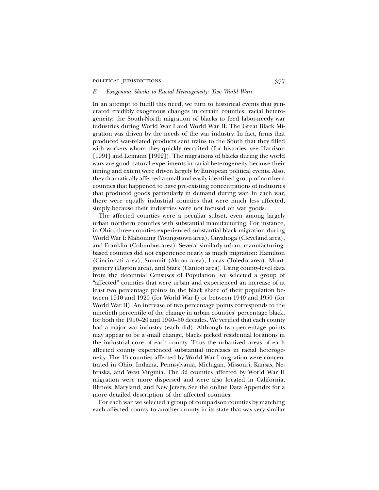#### POLITICAL JURISDICTIONS 377

#### *E. Exogenous Shocks to Racial Heterogeneity: Two World Wars*

In an attempt to fulfill this need, we turn to historical events that generated credibly exogenous changes in certain counties' racial heterogeneity: the South-North migration of blacks to feed labor-needy war industries during World War I and World War II. The Great Black Migration was driven by the needs of the war industry. In fact, firms that produced war-related products sent trains to the South that they filled with workers whom they quickly recruited (for histories, see Harrison [1991] and Lemann [1992]). The migrations of blacks during the world wars are good natural experiments in racial heterogeneity because their timing and extent were driven largely by European political events. Also, they dramatically affected a small and easily identified group of northern counties that happened to have pre-existing concentrations of industries that produced goods particularly in demand during war. In each war, there were equally industrial counties that were much less affected, simply because their industries were not focused on war goods.

The affected counties were a peculiar subset, even among largely urban northern counties with substantial manufacturing. For instance, in Ohio, three counties experienced substantial black migration during World War I: Mahoning (Youngstown area), Cuyahoga (Cleveland area), and Franklin (Columbus area). Several similarly urban, manufacturingbased counties did not experience nearly as much migration: Hamilton (Cincinnati area), Summit (Akron area), Lucas (Toledo area), Montgomery (Dayton area), and Stark (Canton area). Using county-level data from the decennial Censuses of Population, we selected a group of "affected" counties that were urban and experienced an increase of at least two percentage points in the black share of their population between 1910 and 1920 (for World War I) or between 1940 and 1950 (for World War II). An increase of two percentage points corresponds to the ninetieth percentile of the change in urban counties' percentage black, for both the 1910–20 and 1940–50 decades. We verified that each county had a major war industry (each did). Although two percentage points may appear to be a small change, blacks picked residential locations in the industrial core of each county. Thus the urbanized areas of each affected county experienced substantial increases in racial heterogeneity. The 13 counties affected by World War I migration were concentrated in Ohio, Indiana, Pennsylvania, Michigan, Missouri, Kansas, Nebraska, and West Virginia. The 32 counties affected by World War II migration were more dispersed and were also located in California, Illinois, Maryland, and New Jersey. See the online Data Appendix for a more detailed description of the affected counties.

For each war, we selected a group of comparison counties by matching each affected county to another county in its state that was very similar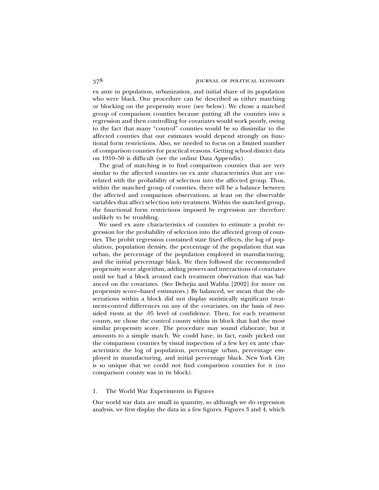ex ante in population, urbanization, and initial share of its population who were black. Our procedure can be described as either matching or blocking on the propensity score (see below). We chose a matched group of comparison counties because putting all the counties into a regression and then controlling for covariates would work poorly, owing to the fact that many "control" counties would be so dissimilar to the affected counties that our estimates would depend strongly on functional form restrictions. Also, we needed to focus on a limited number of comparison counties for practical reasons. Getting school district data on 1910–50 is difficult (see the online Data Appendix).

The goal of matching is to find comparison counties that are very similar to the affected counties on ex ante characteristics that are correlated with the probability of selection into the affected group. Thus, within the matched group of counties, there will be a balance between the affected and comparison observations, at least on the observable variables that affect selection into treatment. Within the matched group, the functional form restrictions imposed by regression are therefore unlikely to be troubling.

We used ex ante characteristics of counties to estimate a probit regression for the probability of selection into the affected group of counties. The probit regression contained state fixed effects, the log of population, population density, the percentage of the population that was urban, the percentage of the population employed in manufacturing, and the initial percentage black. We then followed the recommended propensity score algorithm, adding powers and interactions of covariates until we had a block around each treatment observation that was balanced on the covariates. (See Dehejia and Wahba [2002] for more on propensity score–based estimators.) By balanced, we mean that the observations within a block did not display statistically significant treatment-control differences on any of the covariates, on the basis of twosided *t*-tests at the .05 level of confidence. Then, for each treatment county, we chose the control county within its block that had the most similar propensity score. The procedure may sound elaborate, but it amounts to a simple match. We could have, in fact, easily picked out the comparison counties by visual inspection of a few key ex ante characteristics: the log of population, percentage urban, percentage employed in manufacturing, and initial percentage black. New York City is so unique that we could not find comparison counties for it (no comparison county was in its block).

#### 1. The World War Experiments in Figures

Our world war data are small in quantity, so although we do regression analysis, we first display the data in a few figures. Figures 3 and 4, which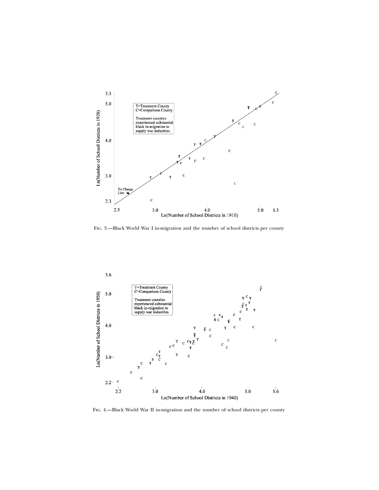

Fig. 3.—Black World War I in-migration and the number of school districts per county



Fig. 4.—Black World War II in-migration and the number of school districts per county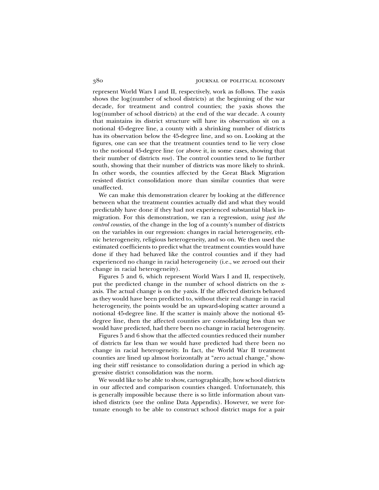represent World Wars I and II, respectively, work as follows. The *x-*axis shows the log(number of school districts) at the beginning of the war decade, for treatment and control counties; the *y-*axis shows the log(number of school districts) at the end of the war decade. A county that maintains its district structure will have its observation sit on a notional 45-degree line, a county with a shrinking number of districts has its observation below the 45-degree line, and so on. Looking at the figures, one can see that the treatment counties tend to lie very close to the notional 45-degree line (or above it, in some cases, showing that their number of districts *rose*). The control counties tend to lie further south, showing that their number of districts was more likely to shrink. In other words, the counties affected by the Great Black Migration resisted district consolidation more than similar counties that were unaffected.

We can make this demonstration clearer by looking at the difference between what the treatment counties actually did and what they would predictably have done if they had not experienced substantial black inmigration. For this demonstration, we ran a regression, *using just the control counties*, of the change in the log of a county's number of districts on the variables in our regression: changes in racial heterogeneity, ethnic heterogeneity, religious heterogeneity, and so on. We then used the estimated coefficients to predict what the treatment counties would have done if they had behaved like the control counties and if they had experienced no change in racial heterogeneity (i.e., we zeroed out their change in racial heterogeneity).

Figures 5 and 6, which represent World Wars I and II, respectively, put the predicted change in the number of school districts on the *x*axis. The actual change is on the *y-*axis. If the affected districts behaved as they would have been predicted to, without their real change in racial heterogeneity, the points would be an upward-sloping scatter around a notional 45-degree line. If the scatter is mainly above the notional 45 degree line, then the affected counties are consolidating less than we would have predicted, had there been no change in racial heterogeneity.

Figures 5 and 6 show that the affected counties reduced their number of districts far less than we would have predicted had there been no change in racial heterogeneity. In fact, the World War II treatment counties are lined up almost horizontally at "zero actual change," showing their stiff resistance to consolidation during a period in which aggressive district consolidation was the norm.

We would like to be able to show, cartographically, how school districts in our affected and comparison counties changed. Unfortunately, this is generally impossible because there is so little information about vanished districts (see the online Data Appendix). However, we were fortunate enough to be able to construct school district maps for a pair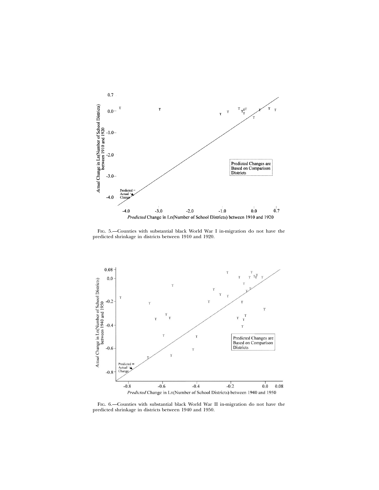

Fig. 5.—Counties with substantial black World War I in-migration do not have the predicted shrinkage in districts between 1910 and 1920.



Fig. 6.—Counties with substantial black World War II in-migration do not have the predicted shrinkage in districts between 1940 and 1950.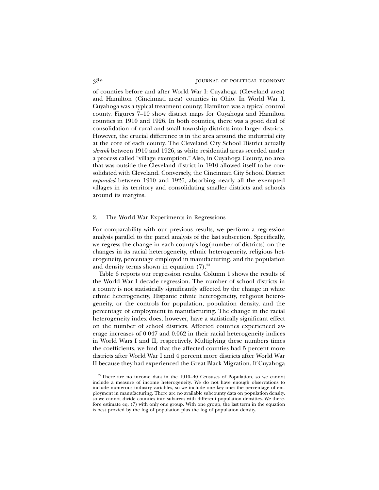of counties before and after World War I: Cuyahoga (Cleveland area) and Hamilton (Cincinnati area) counties in Ohio. In World War I, Cuyahoga was a typical treatment county; Hamilton was a typical control county. Figures 7–10 show district maps for Cuyahoga and Hamilton counties in 1910 and 1926. In both counties, there was a good deal of consolidation of rural and small township districts into larger districts. However, the crucial difference is in the area around the industrial city at the core of each county. The Cleveland City School District actually *shrank* between 1910 and 1926, as white residential areas seceded under a process called "village exemption." Also, in Cuyahoga County, no area that was outside the Cleveland district in 1910 allowed itself to be consolidated with Cleveland. Conversely, the Cincinnati City School District *expanded* between 1910 and 1926, absorbing nearly all the exempted villages in its territory and consolidating smaller districts and schools around its margins.

#### 2. The World War Experiments in Regressions

For comparability with our previous results, we perform a regression analysis parallel to the panel analysis of the last subsection. Specifically, we regress the change in each county's log(number of districts) on the changes in its racial heterogeneity, ethnic heterogeneity, religious heterogeneity, percentage employed in manufacturing, and the population and density terms shown in equation  $(7).^{23}$ 

Table 6 reports our regression results. Column 1 shows the results of the World War I decade regression. The number of school districts in a county is not statistically significantly affected by the change in white ethnic heterogeneity, Hispanic ethnic heterogeneity, religious heterogeneity, or the controls for population, population density, and the percentage of employment in manufacturing. The change in the racial heterogeneity index does, however, have a statistically significant effect on the number of school districts. Affected counties experienced average increases of 0.047 and 0.062 in their racial heterogeneity indices in World Wars I and II, respectively. Multiplying these numbers times the coefficients, we find that the affected counties had 5 percent more districts after World War I and 4 percent more districts after World War II because they had experienced the Great Black Migration. If Cuyahoga

 $23$  There are no income data in the 1910–40 Censuses of Population, so we cannot include a measure of income heterogeneity. We do not have enough observations to include numerous industry variables, so we include one key one: the percentage of employment in manufacturing. There are no available subcounty data on population density, so we cannot divide counties into subareas with different population densities. We therefore estimate eq. (7) with only one group. With one group, the last term in the equation is best proxied by the log of population plus the log of population density.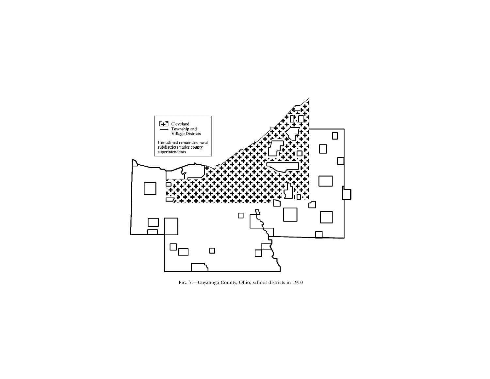

Fig. 7.—Cuyahoga County, Ohio, school districts in <sup>1910</sup>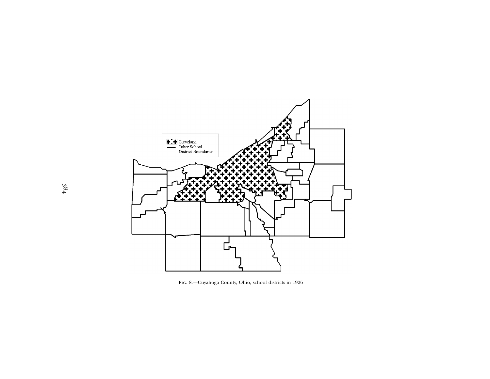

Fig. 8.—Cuyahoga County, Ohio, school districts in 1926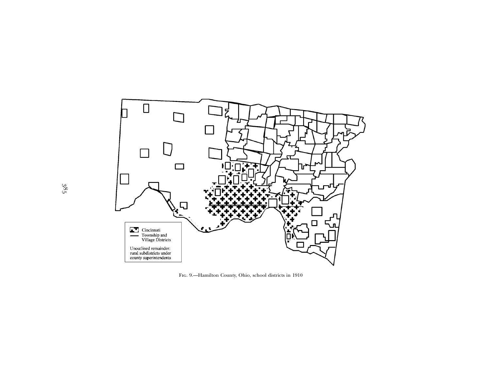

Fig. 9.—Hamilton County, Ohio, school districts in 1910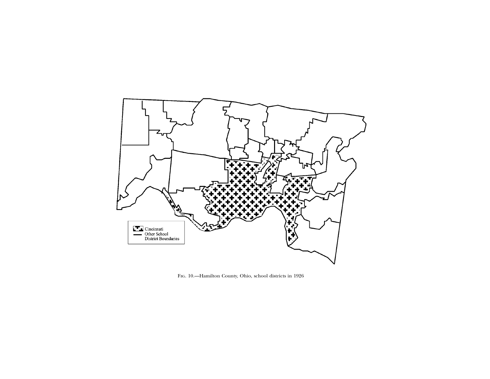

Fig. 10.—Hamilton County, Ohio, school districts in 1926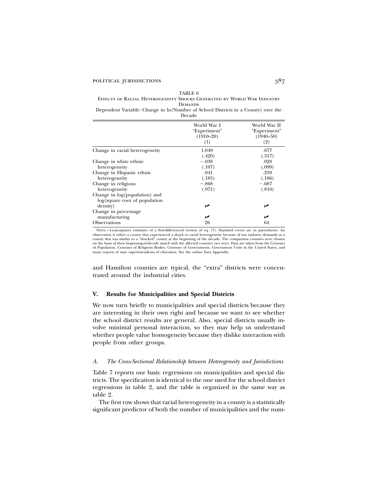#### political jurisdictions 387

#### TABLE 6

#### Effects of Racial Heterogeneity Shocks Generated by World War Industry **DEMANDS**

Dependent Variable: Change in ln(Number of School Districts in a County) over the Decade

|                                                                | World War I<br>"Experiment"<br>$(1910 - 20)$<br>(1) | World War II<br>"Experiment"<br>$(1940 - 50)$<br>(2) |
|----------------------------------------------------------------|-----------------------------------------------------|------------------------------------------------------|
| Change in racial heterogeneity                                 | 1.049<br>(.420)                                     | .677<br>(.317)                                       |
| Change in white ethnic                                         | $-.038$                                             | .028                                                 |
| heterogeneity                                                  | (.107)                                              | (.099)                                               |
| Change in Hispanic ethnic                                      | .041                                                | .259                                                 |
| heterogeneity                                                  | (.185)                                              | (.186)                                               |
| Change in religious                                            | $-.868$                                             | $-.687$                                              |
| heterogeneity                                                  | (.971)                                              | (.810)                                               |
| Change in log(population) and<br>log(square root of population |                                                     |                                                      |
| density)                                                       | مما                                                 | مما                                                  |
| Change in percentage                                           |                                                     |                                                      |
| manufacturing                                                  | مما                                                 | مما                                                  |
| Observations                                                   | 26                                                  | 64                                                   |

Note.—Least-squares estimates of a first-differenced version of eq. (7). Standard errors are in parentheses. An observation is either a county that experienced a shock to racial heterogeneity because of war industry demands or a county that was similar to a "shocked" county at the beginning of the decade. The comparison counties were chosen<br>on the basis of their beginning-of-decade match with the affected counties (see text). Data are taken from t of Population, Censuses of Religious Bodies, Censuses of Governments, Government Units in the United States, and many reports of state superintendents of education. See the online Data Appendix.

and Hamilton counties are typical, the "extra" districts were concentrated around the industrial cities.

#### **V. Results for Municipalities and Special Districts**

We now turn briefly to municipalities and special districts because they are interesting in their own right and because we want to see whether the school district results are general. Also, special districts usually involve minimal personal interaction, so they may help us understand whether people value homogeneity because they dislike interaction with people from other groups.

#### *A. The Cross-Sectional Relationship between Heterogeneity and Jurisdictions*

Table 7 reports our basic regressions on municipalities and special districts. The specification is identical to the one used for the school district regressions in table 2, and the table is organized in the same way as table 2.

The first row shows that racial heterogeneity in a county is a statistically significant predictor of both the number of municipalities and the num-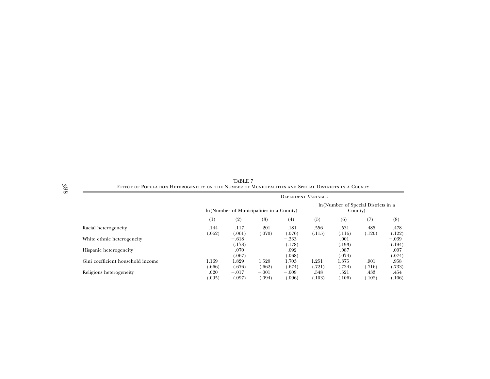| EFFECT OF POPULATION HETEROGENEITY ON THE NUMBER OF MUNICIPALITIES AND SPECIAL DISTRICTS IN A COUNTY |                           |                                           |                   |                   |                 |                                                 |                |                   |  |
|------------------------------------------------------------------------------------------------------|---------------------------|-------------------------------------------|-------------------|-------------------|-----------------|-------------------------------------------------|----------------|-------------------|--|
|                                                                                                      | <b>DEPENDENT VARIABLE</b> |                                           |                   |                   |                 |                                                 |                |                   |  |
|                                                                                                      |                           | In (Number of Municipalities in a County) |                   |                   |                 | In (Number of Special Districts in a<br>County) |                |                   |  |
|                                                                                                      | (1)                       | (2)                                       | (3)               | (4)               | (5)             | (6)                                             | (7)            | (8)               |  |
| Racial heterogeneity                                                                                 | .144<br>(.062)            | .117<br>(.061)                            | .201<br>(.070)    | .181<br>(.076)    | .556<br>(.115)  | .531<br>(.116)                                  | .485<br>(.120) | .478<br>(.122)    |  |
| White ethnic heterogeneity                                                                           |                           | $-.618$<br>(.178)                         |                   | $-.333$<br>(.178) |                 | .001<br>(.193)                                  |                | $-.039$<br>(.194) |  |
| Hispanic heterogeneity                                                                               |                           | .070<br>(.067)                            |                   | .092<br>(.068)    |                 | .087<br>(.074)                                  |                | .007<br>(.074)    |  |
| Gini coefficient household income                                                                    | 1.169<br>.666)            | 1.829<br>(.676)                           | 1.520<br>(.662)   | 1.703<br>(.674)   | 1.251<br>(.721) | 1.375<br>(.734)                                 | .901<br>(.716) | .958<br>(.733)    |  |
| Religious heterogeneity                                                                              | .020<br>(0.095)           | $-.017$<br>(.097)                         | $-.001$<br>(.094) | $-.009$<br>(.096) | .548<br>(.103)  | .521<br>(106)                                   | .433<br>(.102) | .454<br>(.106)    |  |

TABLE 7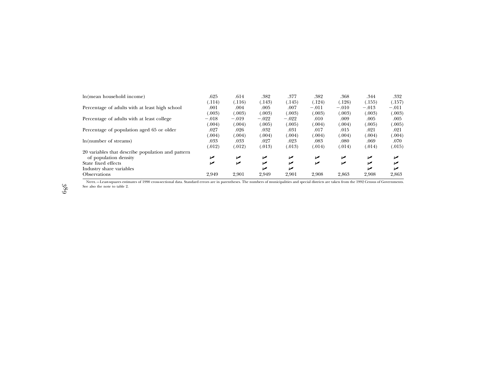| In(mean household income)                         | .625    | .614    | .382    | .377    | .382    | .368    | .344    | .332    |
|---------------------------------------------------|---------|---------|---------|---------|---------|---------|---------|---------|
|                                                   | (.114)  | (.116)  | (.143)  | (.145)  | (.124)  | (.126)  | (.155)  | (.157)  |
| Percentage of adults with at least high school    | .001    | .004    | .005    | .007    | $-.011$ | $-.010$ | $-.013$ | $-.011$ |
|                                                   | (.003)  | (.003)  | (.003)  | (.003)  | (.003)  | (.003)  | (.003)  | (.003)  |
| Percentage of adults with at least college        | $-.018$ | $-.019$ | $-.022$ | $-.022$ | .010    | .009    | .005    | .005    |
|                                                   | 0.004   | (.004)  | (.005)  | (.005)  | (.004)  | (.004)  | 005     | (.005)  |
| Percentage of population aged 65 or older         | .027    | .026    | .032    | .031    | .017    | .015    | .021    | .021    |
|                                                   | 0.004   | (.004)  | (.004)  | (.004)  | (.004)  | (.004)  | (.004)  | (.004)  |
| In(number of streams)                             | .033    | .033    | .027    | .023    | .083    | .080    | .069    | .070    |
|                                                   | (.012)  | (.012)  | (.013)  | (.013)  | (.014)  | (.014)  | (.014)  | (.015)  |
| 20 variables that describe population and pattern |         |         |         |         |         |         |         |         |
| of population density                             | مما     | مما     | مما     | ممز     | مما     | مما     | ✔       |         |
| State fixed effects                               | ✔       | مما     | مما     | ✔       | مما     | ✔       | ✔       | مما     |
| Industry share variables                          |         |         | مما     | مما     |         |         | مم      | مما     |
| <b>Observations</b>                               | 2.949   | 2,901   | 2,949   | 2,901   | 2.908   | 2,863   | 2,908   | 2,863   |

Note.—Least-squares estimates of 1990 cross-sectional data. Standard errors are in parentheses. The numbers of municipalities and special districts are taken from the 1992 Census of Governments. See also the note to table 2.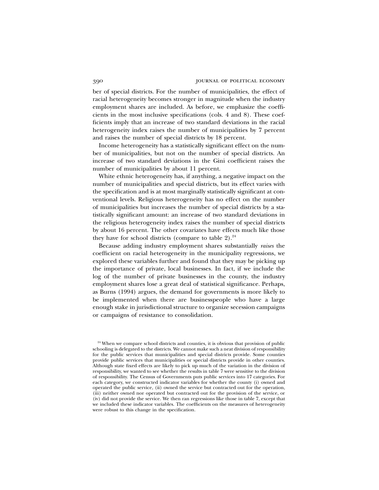ber of special districts. For the number of municipalities, the effect of racial heterogeneity becomes stronger in magnitude when the industry employment shares are included. As before, we emphasize the coefficients in the most inclusive specifications (cols. 4 and 8). These coefficients imply that an increase of two standard deviations in the racial heterogeneity index raises the number of municipalities by 7 percent and raises the number of special districts by 18 percent.

Income heterogeneity has a statistically significant effect on the number of municipalities, but not on the number of special districts. An increase of two standard deviations in the Gini coefficient raises the number of municipalities by about 11 percent.

White ethnic heterogeneity has, if anything, a negative impact on the number of municipalities and special districts, but its effect varies with the specification and is at most marginally statistically significant at conventional levels. Religious heterogeneity has no effect on the number of municipalities but increases the number of special districts by a statistically significant amount: an increase of two standard deviations in the religious heterogeneity index raises the number of special districts by about 16 percent. The other covariates have effects much like those they have for school districts (compare to table 2). $^{24}$ 

Because adding industry employment shares substantially *raises* the coefficient on racial heterogeneity in the municipality regressions, we explored these variables further and found that they may be picking up the importance of private, local businesses. In fact, if we include the log of the number of private businesses in the county, the industry employment shares lose a great deal of statistical significance. Perhaps, as Burns (1994) argues, the demand for governments is more likely to be implemented when there are businesspeople who have a large enough stake in jurisdictional structure to organize secession campaigns or campaigns of resistance to consolidation.

<sup>&</sup>lt;sup>24</sup> When we compare school districts and counties, it is obvious that provision of public schooling is delegated to the districts. We cannot make such a neat division of responsibility for the public services that municipalities and special districts provide. Some counties provide public services that municipalities or special districts provide in other counties. Although state fixed effects are likely to pick up much of the variation in the division of responsibility, we wanted to see whether the results in table 7 were sensitive to the division of responsibility. The Census of Governments puts public services into 17 categories. For each category, we constructed indicator variables for whether the county (i) owned and operated the public service, (ii) owned the service but contracted out for the operation, (iii) neither owned nor operated but contracted out for the provision of the service, or (iv) did not provide the service. We then ran regressions like those in table 7, except that we included these indicator variables. The coefficients on the measures of heterogeneity were robust to this change in the specification.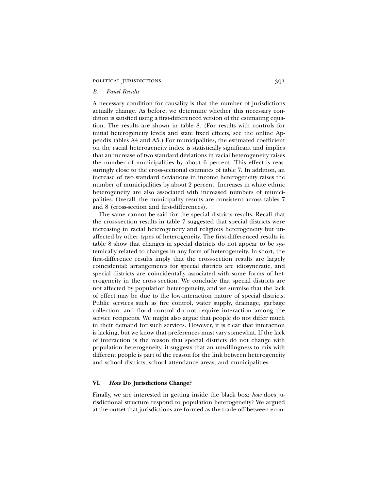#### POLITICAL JURISDICTIONS 391

#### *B. Panel Results*

A necessary condition for causality is that the number of jurisdictions actually change. As before, we determine whether this necessary condition is satisfied using a first-differenced version of the estimating equation. The results are shown in table 8. (For results with controls for initial heterogeneity levels and state fixed effects, see the online Appendix tables A4 and A5.) For municipalities, the estimated coefficient on the racial heterogeneity index is statistically significant and implies that an increase of two standard deviations in racial heterogeneity raises the number of municipalities by about 6 percent. This effect is reassuringly close to the cross-sectional estimates of table 7. In addition, an increase of two standard deviations in income heterogeneity raises the number of municipalities by about 2 percent. Increases in white ethnic heterogeneity are also associated with increased numbers of municipalities. Overall, the municipality results are consistent across tables 7 and 8 (cross-section and first-differences).

The same cannot be said for the special districts results. Recall that the cross-section results in table 7 suggested that special districts were increasing in racial heterogeneity and religious heterogeneity but unaffected by other types of heterogeneity. The first-differenced results in table 8 show that changes in special districts do not appear to be systemically related to changes in any form of heterogeneity. In short, the first-difference results imply that the cross-section results are largely coincidental: arrangements for special districts are idiosyncratic, and special districts are coincidentally associated with some forms of heterogeneity in the cross section. We conclude that special districts are not affected by population heterogeneity, and we surmise that the lack of effect may be due to the low-interaction nature of special districts. Public services such as fire control, water supply, drainage, garbage collection, and flood control do not require interaction among the service recipients. We might also argue that people do not differ much in their demand for such services. However, it is clear that interaction is lacking, but we know that preferences must vary somewhat. If the lack of interaction is the reason that special districts do not change with population heterogeneity, it suggests that an unwillingness to mix with different people is part of the reason for the link between heterogeneity and school districts, school attendance areas, and municipalities.

#### **VI.** *How* **Do Jurisdictions Change?**

Finally, we are interested in getting inside the black box: *how* does jurisdictional structure respond to population heterogeneity? We argued at the outset that jurisdictions are formed as the trade-off between econ-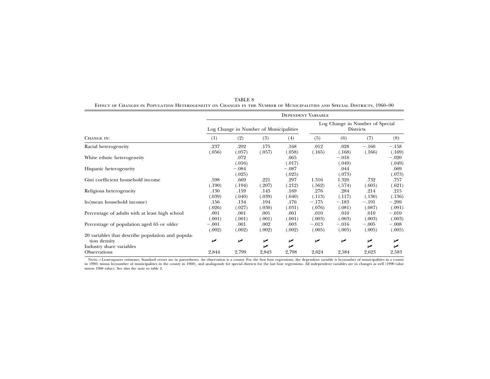| CHANGE IN:                                                        | <b>DEPENDENT VARIABLE</b>              |                   |                |                   |                                              |                   |                   |                   |  |
|-------------------------------------------------------------------|----------------------------------------|-------------------|----------------|-------------------|----------------------------------------------|-------------------|-------------------|-------------------|--|
|                                                                   | Log Change in Number of Municipalities |                   |                |                   | Log Change in Number of Special<br>Districts |                   |                   |                   |  |
|                                                                   | (1)                                    | (2)               | (3)            | (4)               | (5)                                          | (6)               | (7)               | (8)               |  |
| Racial heterogeneity                                              | .237<br>(.056)                         | .202<br>(.057)    | .175<br>(.057) | .168<br>(.058)    | .012<br>(.165)                               | .028<br>(.168)    | $-.160$<br>(.166) | $-.158$<br>(.169) |  |
| White ethnic heterogeneity                                        |                                        | .072<br>(.016)    |                | .065<br>(.017)    |                                              | $-.018$<br>(.049) |                   | $-.020$<br>(.049) |  |
| Hispanic heterogeneity                                            |                                        | $-.084$<br>(.025) |                | $-.087$<br>(.025) |                                              | .044<br>(.073)    |                   | .069<br>(.073)    |  |
| Gini coefficient household income                                 | .598<br>(.190)                         | .669<br>(.194)    | .221<br>(.207) | .297<br>(.212)    | 1.316<br>(.562)                              | 1.320<br>(.574)   | .732<br>(.605)    | .757<br>(.621)    |  |
| Religious heterogeneity                                           | .130<br>(.039)                         | .159<br>(.040)    | .145<br>(.039) | .169<br>(.040)    | .276<br>(.113)                               | .284<br>(.117)    | .214<br>(.130)    | .215<br>(.136)    |  |
| In (mean household income)                                        | .156<br>(.026)                         | .134<br>(.027)    | .194<br>(.030) | .176<br>(.031)    | $-.175$<br>(.076)                            | $-.183$<br>(.081) | $-.191$<br>(.087) | $-.209$<br>(.091) |  |
| Percentage of adults with at least high school                    | .001<br>(.001)                         | .001<br>(.001)    | .001<br>(.001) | .001<br>(.001)    | .010<br>(.003)                               | .010<br>(.003)    | .010<br>(.003)    | $-.010$<br>(.003) |  |
| Percentage of population aged 65 or older                         | $-.001$<br>(.002)                      | .001<br>(.002)    | .002<br>(.002) | .003<br>(.002)    | $-.013$<br>(.005)                            | $-.016$<br>(.005) | $-.005$<br>(.005) | $-.008$<br>(.005) |  |
| 20 variables that describe population and popula-<br>tion density | مما                                    | ✔                 | مما            | مما               | مما                                          | ✔                 | ✔                 | ✔                 |  |
| Industry share variables<br>Observations                          | 2,844                                  | 2,799             | مما<br>2,843   | مما<br>2,798      | 2,624                                        | 2,584             | مما<br>2,623      | مما<br>2,583      |  |

TABLE 8Effect of Changes in Population Heterogeneity on Changes in the Number of Municipalities and Special Districts, 1960–90

Norr.—Least-squares estimates. Standard errors are in parentheses. An observation is a county. For the first four regressions, the dependent variable is ln(number of municipalities in a county<br>in 1990) minus ln(number of m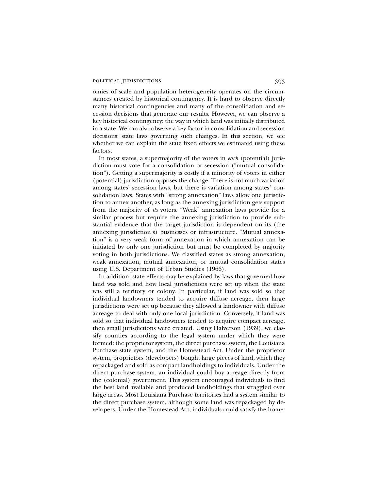#### POLITICAL JURISDICTIONS 393

omies of scale and population heterogeneity operates on the circumstances created by historical contingency. It is hard to observe directly many historical contingencies and many of the consolidation and secession decisions that generate our results. However, we can observe a key historical contingency: the way in which land was initially distributed in a state. We can also observe a key factor in consolidation and secession decisions: state laws governing such changes. In this section, we see whether we can explain the state fixed effects we estimated using these factors.

In most states, a supermajority of the voters in *each* (potential) jurisdiction must vote for a consolidation or secession ("mutual consolidation"). Getting a supermajority is costly if a minority of voters in either (potential) jurisdiction opposes the change. There is not much variation among states' secession laws, but there is variation among states' consolidation laws. States with "strong annexation" laws allow one jurisdiction to annex another, as long as the annexing jurisdiction gets support from the majority of *its* voters. "Weak" annexation laws provide for a similar process but require the annexing jurisdiction to provide substantial evidence that the target jurisdiction is dependent on its (the annexing jurisdiction's) businesses or infrastructure. "Mutual annexation" is a very weak form of annexation in which annexation can be initiated by only one jurisdiction but must be completed by majority voting in both jurisdictions. We classified states as strong annexation, weak annexation, mutual annexation, or mutual consolidation states using U.S. Department of Urban Studies (1966).

In addition, state effects may be explained by laws that governed how land was sold and how local jurisdictions were set up when the state was still a territory or colony. In particular, if land was sold so that individual landowners tended to acquire diffuse acreage, then large jurisdictions were set up because they allowed a landowner with diffuse acreage to deal with only one local jurisdiction. Conversely, if land was sold so that individual landowners tended to acquire compact acreage, then small jurisdictions were created. Using Halverson (1939), we classify counties according to the legal system under which they were formed: the proprietor system, the direct purchase system, the Louisiana Purchase state system, and the Homestead Act. Under the proprietor system, proprietors (developers) bought large pieces of land, which they repackaged and sold as compact landholdings to individuals. Under the direct purchase system, an individual could buy acreage directly from the (colonial) government. This system encouraged individuals to find the best land available and produced landholdings that straggled over large areas. Most Louisiana Purchase territories had a system similar to the direct purchase system, although some land was repackaged by developers. Under the Homestead Act, individuals could satisfy the home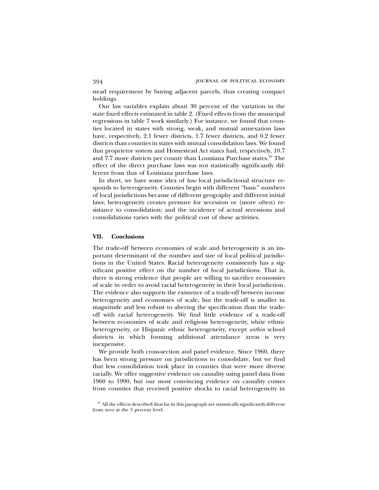stead requirement by buying adjacent parcels, thus creating compact holdings.

Our law variables explain about 30 percent of the variation in the state fixed effects estimated in table 2. (Fixed effects from the municipal regressions in table 7 work similarly.) For instance, we found that counties located in states with strong, weak, and mutual annexation laws have, respectively, 2.1 fewer districts, 1.7 fewer districts, and 0.2 fewer districts than counties in states with mutual consolidation laws. We found that proprietor system and Homestead Act states had, respectively, 10.7 and 7.7 more districts per county than Louisiana Purchase states.<sup>25</sup> The effect of the direct purchase laws was not statistically significantly different from that of Louisiana purchase laws.

In short, we have some idea of *how* local jurisdictional structure responds to heterogeneity. Counties begin with different "basic" numbers of local jurisdictions because of different geography and different initial laws; heterogeneity creates pressure for secession or (more often) resistance to consolidation; and the incidence of actual secessions and consolidations varies with the political cost of these activities.

#### **VII. Conclusions**

The trade-off between economies of scale and heterogeneity is an important determinant of the number and size of local political jurisdictions in the United States. Racial heterogeneity consistently has a significant positive effect on the number of local jurisdictions. That is, there is strong evidence that people are willing to sacrifice economies of scale in order to avoid racial heterogeneity in their local jurisdiction. The evidence also supports the existence of a trade-off between income heterogeneity and economies of scale, but the trade-off is smaller in magnitude and less robust to altering the specification than the tradeoff with racial heterogeneity. We find little evidence of a trade-off between economies of scale and religious heterogeneity, white ethnic heterogeneity, or Hispanic ethnic heterogeneity, except *within* school districts in which forming additional attendance areas is very inexpensive.

We provide both cross-section and panel evidence. Since 1960, there has been strong pressure on jurisdictions to consolidate, but we find that less consolidation took place in counties that were more diverse racially. We offer suggestive evidence on causality using panel data from 1960 to 1990, but our most convincing evidence on causality comes from counties that received positive shocks to racial heterogeneity in

<sup>&</sup>lt;sup>25</sup> All the effects described thus far in this paragraph are statistically significantly different from zero at the 5 percent level.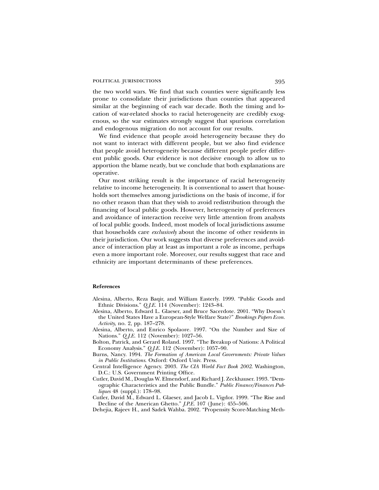#### POLITICAL JURISDICTIONS 395

the two world wars. We find that such counties were significantly less prone to consolidate their jurisdictions than counties that appeared similar at the beginning of each war decade. Both the timing and location of war-related shocks to racial heterogeneity are credibly exogenous, so the war estimates strongly suggest that spurious correlation and endogenous migration do not account for our results.

We find evidence that people avoid heterogeneity because they do not want to interact with different people, but we also find evidence that people avoid heterogeneity because different people prefer different public goods. Our evidence is not decisive enough to allow us to apportion the blame neatly, but we conclude that both explanations are operative.

Our most striking result is the importance of racial heterogeneity relative to income heterogeneity. It is conventional to assert that households sort themselves among jurisdictions on the basis of income, if for no other reason than that they wish to avoid redistribution through the financing of local public goods. However, heterogeneity of preferences and avoidance of interaction receive very little attention from analysts of local public goods. Indeed, most models of local jurisdictions assume that households care *exclusively* about the income of other residents in their jurisdiction. Our work suggests that diverse preferences and avoidance of interaction play at least as important a role as income, perhaps even a more important role. Moreover, our results suggest that race and ethnicity are important determinants of these preferences.

#### **References**

- Alesina, Alberto, Reza Baqir, and William Easterly. 1999. "Public Goods and Ethnic Divisions." *Q.J.E.* 114 (November): 1243–84.
- Alesina, Alberto, Edward L. Glaeser, and Bruce Sacerdote. 2001. "Why Doesn't the United States Have a European-Style Welfare State?" *Brookings Papers Econ. Activity*, no. 2, pp. 187–278.
- Alesina, Alberto, and Enrico Spolaore. 1997. "On the Number and Size of Nations." *Q.J.E.* 112 (November): 1027–56.
- Bolton, Patrick, and Gerard Roland. 1997. "The Breakup of Nations: A Political Economy Analysis." *Q.J.E.* 112 (November): 1057–90.
- Burns, Nancy. 1994. *The Formation of American Local Governments: Private Values in Public Institutions*. Oxford: Oxford Univ. Press.
- Central Intelligence Agency. 2003. *The CIA World Fact Book 2002*. Washington, D.C.: U.S. Government Printing Office.
- Cutler, David M., Douglas W. Elmendorf, and Richard J. Zeckhauser. 1993. "Demographic Characteristics and the Public Bundle." *Public Finance/Finances Publiques* 48 (suppl.): 178–98.
- Cutler, David M., Edward L. Glaeser, and Jacob L. Vigdor. 1999. "The Rise and Decline of the American Ghetto." *J.P.E.* 107 (June): 455–506.
- Dehejia, Rajeev H., and Sadek Wahba. 2002. "Propensity Score-Matching Meth-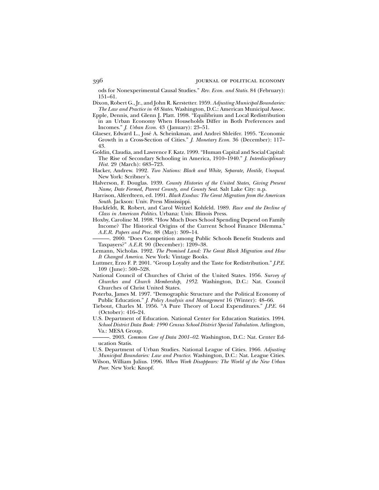ods for Nonexperimental Causal Studies." *Rev. Econ. and Statis.* 84 (February): 151–61.

- Dixon, Robert G., Jr., and John R. Kerstetter. 1959. *Adjusting Municipal Boundaries: The Law and Practice in 48 States*. Washington, D.C.: American Municipal Assoc.
- Epple, Dennis, and Glenn J. Platt. 1998. "Equilibrium and Local Redistribution in an Urban Economy When Households Differ in Both Preferences and Incomes." *J. Urban Econ.* 43 (January): 23–51.
- Glaeser, Edward L., Jose´ A. Scheinkman, and Andrei Shleifer. 1995. "Economic Growth in a Cross-Section of Cities." *J. Monetary Econ.* 36 (December): 117– 43.
- Goldin, Claudia, and Lawrence F. Katz. 1999. "Human Capital and Social Capital: The Rise of Secondary Schooling in America, 1910–1940." *J. Interdisciplinary Hist.* 29 (March): 683–723.
- Hacker, Andrew. 1992. *Two Nations: Black and White, Separate, Hostile, Unequal*. New York: Scribner's.
- Halverson, F. Douglas. 1939. *County Histories of the United States, Giving Present Name, Date Formed, Parent County, and County Seat*. Salt Lake City: n.p.
- Harrison, Alferdteen, ed. 1991. *Black Exodus: The Great Migration from the American South*. Jackson: Univ. Press Mississippi.
- Huckfeldt, R. Robert, and Carol Weitzel Kohfeld. 1989. *Race and the Decline of Class in American Politics*. Urbana: Univ. Illinois Press.
- Hoxby, Caroline M. 1998. "How Much Does School Spending Depend on Family Income? The Historical Origins of the Current School Finance Dilemma." *A.E.R. Papers and Proc.* 88 (May): 309–14.
- -. 2000. "Does Competition among Public Schools Benefit Students and Taxpayers?" *A.E.R.* 90 (December): 1209–38.
- Lemann, Nicholas. 1992. *The Promised Land: The Great Black Migration and How It Changed America*. New York: Vintage Books.
- Luttmer, Erzo F. P. 2001. "Group Loyalty and the Taste for Redistribution." *J.P.E.* 109 (June): 500–528.
- National Council of Churches of Christ of the United States. 1956. *Survey of Churches and Church Membership, 1952*. Washington, D.C.: Nat. Council Churches of Christ United States.
- Poterba, James M. 1997. "Demographic Structure and the Political Economy of Public Education." *J. Policy Analysis and Management* 16 (Winter): 48–66.
- Tiebout, Charles M. 1956. "A Pure Theory of Local Expenditures." *J.P.E.* 64 (October): 416–24.
- U.S. Department of Education. National Center for Education Statistics. 1994. *School District Data Book: 1990 Census School District Special Tabulation*. Arlington, Va.: MESA Group.
- ———. 2003. *Common Core of Data 2001–02*. Washington, D.C.: Nat. Center Education Statis.
- U.S. Department of Urban Studies. National League of Cities. 1966. *Adjusting Municipal Boundaries: Law and Practice*. Washington, D.C.: Nat. League Cities.
- Wilson, William Julius. 1996. *When Work Disappears: The World of the New Urban Poor*. New York: Knopf.